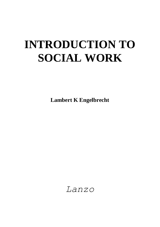# **INTRODUCTION TO SOCIAL WORK**

**Lambert K Engelbrecht**

*Lanzo*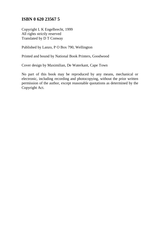#### **ISBN 0 620 23567 5**

Copyright L K Engelbrecht, 1999 All rights strictly reserved Translated by D T Conway

Published by Lanzo, P O Box 790, Wellington

Printed and bound by National Book Printers, Goodwood

Cover design by Maximilian, De Waterkant, Cape Town

No part of this book may be reproduced by any means, mechanical or electronic, including recording and photocopying, without the prior written permission of the author, except reasonable quotations as determined by the Copyright Act.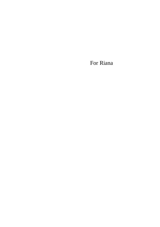For Riana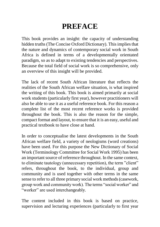# **PREFACE**

This book provides an insight: the capacity of understanding hidden truths (The Concise Oxford Dictionary). This implies that the nature and dynamics of contemporary social work in South Africa is defined in terms of a developmentally orientated paradigm, so as to adapt to existing tendencies and perspectives. Because the total field of social work is so comprehensive, only an overview of this insight will be provided.

The lack of recent South African literature that reflects the realities of the South African welfare situation, is what inspired the writing of this book. This book is aimed primarily at social work students (particularly first year), however practitioners will also be able to use it as a useful reference book. For this reason a complete list of the most recent reference works is provided throughout the book. This is also the reason for the simple, compact format and layout, to ensure that it is an easy, useful and practical textbook to have close at hand.

In order to conceptualise the latest developments in the South African welfare field, a variety of neologisms (word creations) have been used. For this purpose the New Dictionary of Social Work (Terminology Committee for Social Work 1995) has been an important source of reference throughout. In the same context, to eliminate tautology (unnecessary repetition), the term "client" refers, throughout the book, to the individual, group and community and is used together with other terms in the same sense to refer to all three primary social work methods (casework, group work and community work). The terms "social worker" and "worker" are used interchangeably.

The content included in this book is based on practice, supervision and lecturing experiences (particularly to first year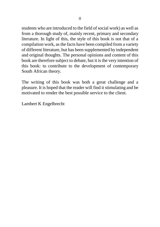students who are introduced to the field of social work) as well as from a thorough study of, mainly recent, primary and secondary literature. In light of this, the style of this book is not that of a compilation work, as the facts have been compiled from a variety of different literature, but has been supplemented by independent and original thoughts. The personal opinions and content of this book are therefore subject to debate, but it is the very intention of this book: to contribute to the development of contemporary South African theory.

The writing of this book was both a great challenge and a pleasure. It is hoped that the reader will find it stimulating and be motivated to render the best possible service to the client.

Lambert K Engelbrecht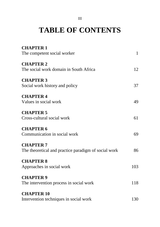#### III

# **TABLE OF CONTENTS**

| <b>CHAPTER 1</b>                                     |              |
|------------------------------------------------------|--------------|
| The competent social worker                          | $\mathbf{1}$ |
| <b>CHAPTER 2</b>                                     |              |
| The social work domain in South Africa               | 12           |
| <b>CHAPTER 3</b>                                     |              |
| Social work history and policy                       | 37           |
| <b>CHAPTER 4</b>                                     |              |
| Values in social work                                | 49           |
| <b>CHAPTER 5</b>                                     |              |
| Cross-cultural social work                           | 61           |
| <b>CHAPTER 6</b>                                     |              |
| Communication in social work                         | 69           |
| <b>CHAPTER 7</b>                                     |              |
| The theoretical and practice paradigm of social work | 86           |
| <b>CHAPTER 8</b>                                     |              |
| Approaches in social work                            | 103          |
| <b>CHAPTER 9</b>                                     |              |
| The intervention process in social work              | 118          |
| <b>CHAPTER 10</b>                                    |              |
| Intervention techniques in social work               | 130          |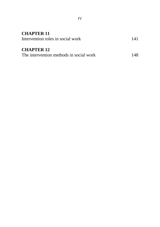| <b>CHAPTER 11</b>                       |      |
|-----------------------------------------|------|
| Intervention roles in social work       | 141  |
|                                         |      |
| <b>CHAPTER 12</b>                       |      |
| The intervention methods in social work | 148. |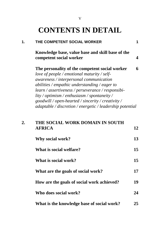| $\mathbf 1$  | THE COMPETENT SOCIAL WORKER                                                                                                                                                                                                                                                                                                                                                                                          | 1  |
|--------------|----------------------------------------------------------------------------------------------------------------------------------------------------------------------------------------------------------------------------------------------------------------------------------------------------------------------------------------------------------------------------------------------------------------------|----|
|              | Knowledge base, value base and skill base of the<br>competent social worker                                                                                                                                                                                                                                                                                                                                          | 4  |
|              | The personality of the competent social worker<br>love of people / emotional maturity / self-<br>awareness / interpersonal communication<br>abilities / empathic understanding / eager to<br>learn / assertiveness / perseverance / responsibi-<br>$lity / optimism / enthusiasm / spontaneity /$<br>goodwill / open-hearted / sincerity / creativity /<br>adaptable / discretion / energetic / leadership potential | 6  |
| $\mathbf{2}$ | THE SOCIAL WORK DOMAIN IN SOUTH<br><b>AFRICA</b>                                                                                                                                                                                                                                                                                                                                                                     | 12 |
|              | Why social work?                                                                                                                                                                                                                                                                                                                                                                                                     | 13 |
|              | What is social welfare?                                                                                                                                                                                                                                                                                                                                                                                              | 15 |

| What is social welfare?                    | 15 |
|--------------------------------------------|----|
| What is social work?                       | 15 |
| What are the goals of social work?         | 17 |
| How are the goals of social work achieved? | 19 |
| Who does social work?                      | 24 |
| What is the knowledge base of social work? | 25 |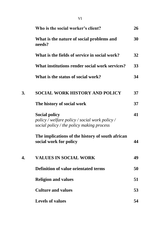|    | Who is the social worker's client?                                                                                  | 26 |
|----|---------------------------------------------------------------------------------------------------------------------|----|
|    | What is the nature of social problems and<br>needs?                                                                 | 30 |
|    | What is the fields of service in social work?                                                                       | 32 |
|    | What institutions render social work services?                                                                      | 33 |
|    | What is the status of social work?                                                                                  | 34 |
| 3. | <b>SOCIAL WORK HISTORY AND POLICY</b>                                                                               | 37 |
|    | The history of social work                                                                                          | 37 |
|    | <b>Social policy</b><br>policy / welfare policy / social work policy /<br>social policy / the policy making process | 41 |
|    | The implications of the history of south african<br>social work for policy                                          | 44 |
| 4. | <b>VALUES IN SOCIAL WORK</b>                                                                                        | 49 |
|    | <b>Definition of value orientated terms</b>                                                                         | 50 |
|    | <b>Religion and values</b>                                                                                          | 51 |
|    | <b>Culture and values</b>                                                                                           | 53 |
|    | <b>Levels of values</b>                                                                                             | 54 |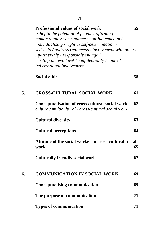|    | <b>Professional values of social work</b><br>belief in the potential of people / affirming<br>human dignity / acceptance / non-judgemental /<br>$individualising / right to self-determination /$<br>self-help / address real needs / involvement with others<br>/ partnership / responsible change /<br>meeting on own level / confidentiality / control-<br>led emotional involvement | 55 |
|----|-----------------------------------------------------------------------------------------------------------------------------------------------------------------------------------------------------------------------------------------------------------------------------------------------------------------------------------------------------------------------------------------|----|
|    | <b>Social ethics</b>                                                                                                                                                                                                                                                                                                                                                                    | 58 |
| 5. | <b>CROSS-CULTURAL SOCIAL WORK</b>                                                                                                                                                                                                                                                                                                                                                       | 61 |
|    | Conceptualisation of cross-cultural social work<br>culture / multicultural / cross-cultural social work                                                                                                                                                                                                                                                                                 | 62 |
|    | <b>Cultural diversity</b>                                                                                                                                                                                                                                                                                                                                                               | 63 |
|    | <b>Cultural perceptions</b>                                                                                                                                                                                                                                                                                                                                                             | 64 |
|    | Attitude of the social worker in cross-cultural social<br>work                                                                                                                                                                                                                                                                                                                          | 65 |
|    | <b>Culturally friendly social work</b>                                                                                                                                                                                                                                                                                                                                                  | 67 |
| 6. | <b>COMMUNICATION IN SOCIAL WORK</b>                                                                                                                                                                                                                                                                                                                                                     | 69 |
|    | <b>Conceptualising communication</b>                                                                                                                                                                                                                                                                                                                                                    | 69 |
|    | The purpose of communication                                                                                                                                                                                                                                                                                                                                                            | 71 |
|    | <b>Types of communication</b>                                                                                                                                                                                                                                                                                                                                                           | 71 |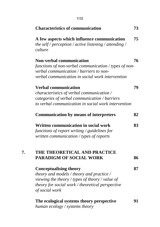|    | VIII                                                                                                                                                                                                |    |
|----|-----------------------------------------------------------------------------------------------------------------------------------------------------------------------------------------------------|----|
|    | <b>Characteristics of communication</b>                                                                                                                                                             | 73 |
|    | A few aspects which influence communication<br>the self / perception / active listening / attending /<br>culture                                                                                    | 75 |
|    | <b>Non-verbal communication</b><br>functions of non-verbal communication / types of non-<br>verbal communication / barriers to non-<br>verbal communication in social work intervention             | 76 |
|    | <b>Verbal communication</b><br>characteristics of verbal communication /<br>categories of verbal communication / barriers<br>to verbal communication in social work intervention                    | 79 |
|    | <b>Communication by means of interpreters</b>                                                                                                                                                       | 82 |
|    | Written communication in social work<br>functions of report writing $\frac{1}{2}$ guidelines for<br>written communication / types of reports                                                        | 83 |
| 7. | THE THEORETICAL AND PRACTICE<br><b>PARADIGM OF SOCIAL WORK</b>                                                                                                                                      | 86 |
|    | <b>Conceptualising theory</b><br>theory and models / theory and practice /<br>viewing the theory / types of theory / value of<br>theory for social work / theoretical perspective<br>of social work | 87 |
|    | The ecological systems theory perspective<br>human ecology / systems theory                                                                                                                         | 91 |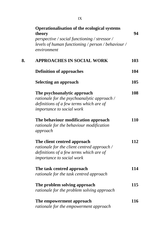|    | <b>Operationalisation of the ecological systems</b><br>theory                                       | 94  |
|----|-----------------------------------------------------------------------------------------------------|-----|
|    | perspective / social functioning / stressor /<br>levels of human functioning / person / behaviour / |     |
|    | environment                                                                                         |     |
| 8. | <b>APPROACHES IN SOCIAL WORK</b>                                                                    | 103 |
|    | <b>Definition of approaches</b>                                                                     | 104 |
|    | <b>Selecting an approach</b>                                                                        | 105 |
|    | The psychoanalytic approach                                                                         | 108 |
|    | rationale for the psychoanalytic approach /                                                         |     |
|    | definitions of a few terms which are of                                                             |     |
|    | importance to social work                                                                           |     |
|    | The behaviour modification approach                                                                 | 110 |
|    | rationale for the behaviour modification                                                            |     |
|    | approach                                                                                            |     |
|    | The client centred approach                                                                         | 112 |
|    | rationale for the client centred approach /                                                         |     |
|    | definitions of a few terms which are of                                                             |     |
|    | importance to social work                                                                           |     |
|    | The task centred approach                                                                           | 114 |
|    | rationale for the task centred approach                                                             |     |
|    | The problem solving approach                                                                        | 115 |
|    | rationale for the problem solving approach                                                          |     |
|    | The empowerment approach                                                                            | 116 |
|    | rationale for the empowerment approach                                                              |     |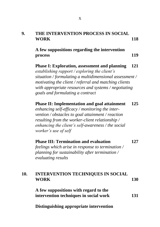| 9. | THE INTERVENTION PROCESS IN SOCIAL |     |
|----|------------------------------------|-----|
|    | <b>WORK</b>                        | 118 |

**A few suppositions regarding the intervention process 119**

**Phase I: Exploration, assessment and planning 121** *establishing rapport / exploring the client's situation / formulating a multidimensional assessment / motivating the client / referral and matching clients with appropriate resources and systems / negotiating goals and formulating a contract*

**Phase II: Implementation and goal attainment 125** *enhancing self-efficacy / monitoring the inter-*

*vention / obstacles to goal attainment / reaction resulting from the worker-client relationship / enhancing the client's self-awareness / the social worker's use of self*

| <b>Phase III: Termination and evaluation</b>      | 127 |
|---------------------------------------------------|-----|
| feelings which arise in response to termination / |     |

*feelings which arise in response to termination / planning for sustainability after termination / evaluating results*

#### **10. INTERVENTION TECHNIQUES IN SOCIAL WORK 130**

**A few suppositions with regard to the intervention techniques in social work 131**

**Distinguishing appropriate intervention**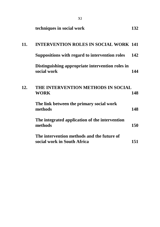|     | techniques in social work                                                 | 132 |
|-----|---------------------------------------------------------------------------|-----|
| 11. | <b>INTERVENTION ROLES IN SOCIAL WORK 141</b>                              |     |
|     | Suppositions with regard to intervention roles                            | 142 |
|     | Distinguishing appropriate intervention roles in<br>social work           | 144 |
| 12. | THE INTERVENTION METHODS IN SOCIAL<br><b>WORK</b>                         | 148 |
|     | The link between the primary social work<br>methods                       | 148 |
|     | The integrated application of the intervention<br>methods                 | 150 |
|     | The intervention methods and the future of<br>social work in South Africa | 151 |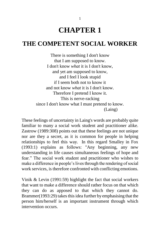# **CHAPTER 1**

### **THE COMPETENT SOCIAL WORKER**

There is something I don't know that I am supposed to know. I don't know *what* it is I don't know, and yet am supposed to know, and I feel I look stupid if I seem both not to know it and not know *what* it is I don't know. Therefore I pretend I know it. This is nerve-racking since I don't know what I must pretend to know. (Laing)

These feelings of uncertainty in Laing's words are probably quite familiar to many a social work student and practitioner alike. Zastrow (1989:308) points out that these feelings are not unique nor are they a secret, as it is common for people in helping relationships to feel this way. In this regard Smalley in Fox (1993:1) explains as follows: "Any beginning, any new understanding in life causes simultaneous feelings of hope and fear." The social work student and practitioner who wishes to make a difference in people"s lives through the rendering of social work services, is therefore confronted with conflicting emotions.

Vinik & Levin (1991:59) highlight the fact that social workers that want to make a difference should rather focus on that which they can do as apposed to that which they cannot do. Brammer(1993:29) takes this idea further by emphasising that the person him/herself is an important instrument through which intervention occurs.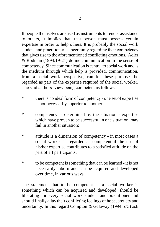If people themselves are used as instruments to render assistance to others, it implies that, that person must possess certain expertise in order to help others. It is probably the social work student and practitioner"s uncertainty regarding their competency that gives rise to the aforementioned conflicting emotions. Adler & Rodman (1994:19-21) define communication in the sense of competency. Since communication is central to social work and is the medium through which help is provided, communication, from a social work perspective, can for these purposes be regarded as part of the expertise required of the social worker. The said authors' view being competent as follows:

- \* there is no ideal form of competency one set of expertise is not necessarily superior to another;
- \* competency is determined by the situation expertise which have proven to be successful in one situation, may fail in another situation;
- \* attitude is a dimension of competency in most cases a social worker is regarded as competent if the use of his/her expertise contributes to a satisfied attitude on the part of all participants;
- \* to be competent is something that can be learned it is not necessarily inborn and can be acquired and developed over time, in various ways.

The statement that to be competent as a social worker is something which can be acquired and developed, should be liberating for every social work student and practitioner and should finally allay their conflicting feelings of hope, anxiety and uncertainty. In this regard Compton & Galaway (1994:573) ask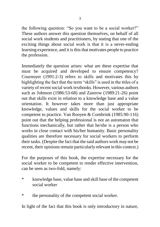the following question: "So you want to be a social worker?" These authors answer this question themselves, on behalf of all social work students and practitioners, by stating that one of the exciting things about social work is that it is a never-ending learning experience, and it is this that motivates people to practice the profession.

Immediately the question arises: what are these expertise that must be acquired and developed to ensure competency? Cournoyer (1991:2-3) refers to skills and motivates this by highlighting the fact that the term "skills" is used in the titles of a variety of recent social work textbooks. However, various authors such as Johnson (1986:53-68) and Zastrow (1989:21-26) point out that skills exist in relation to a knowledge base and a value orientation. It however takes more than just appropriate knowledge, values and skills for the social worker to be competent to practice. Van Rooyen & Combrink (1985:90-116) point out that the helping professional is not an automaton that functions mechanically, but rather that he/she is a person who works in close contact with his/her humanity. Basic personality qualities are therefore necessary for social workers to perform their tasks. (Despite the fact that the said authors work may not be recent, their opinions remain particularly relevant in this context.)

For the purposes of this book, the expertise necessary for the social worker to be competent to render effective intervention, can be seen as two-fold, namely:

- \* knowledge base, value base and skill base of the competent social worker
- \* the personality of the competent social worker.

In light of the fact that this book is only introductory in nature,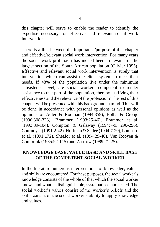this chapter will serve to enable the reader to identify the expertise necessary for effective and relevant social work intervention.

There is a link between the importance/purpose of this chapter and effective/relevant social work intervention. For many years the social work profession has indeed been irrelevant for the largest section of the South African population (Olivier 1995). Effective and relevant social work intervention is surely that intervention which can assist the client system to meet their needs. If 48% of the population live under the minimum subsistence level, are social workers competent to render assistance to that part of the population, thereby justifying their effectiveness and the relevance of the profession? The rest of this chapter will be presented with this background in mind. This will be done in accordance with personal opinions as well as the opinions of Adler & Rodman (1994:359), Botha & Cronje (1996:308-323), Brammer (1993:25-46), Brammer et al. (1993:89-104), Compton & Galaway (1994:7-9, 290-296), Cournoyer (1991:2-42), Hoffman & Sallee (1994:7-20), Lombard et al. (1991:172), Sheafor et al. (1994:29-46), Van Rooyen & Combrink (1985:92-115) and Zastrow (1989:21-25).

#### **KNOWLEDGE BASE, VALUE BASE AND SKILL BASE OF THE COMPETENT SOCIAL WORKER**

In the literature numerous interpretations of knowledge, values and skills are encountered. For these purposes, the social worker"s knowledge consists of the whole of that which the social worker knows and what is distinguishable, systematised and tested. The social worker's values consist of the worker's beliefs and the skills consist of the social worker"s ability to apply knowledge and values.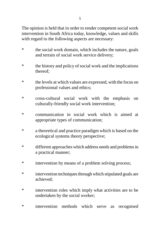The opinion is held that in order to render competent social work intervention in South Africa today, knowledge, values and skills with regard to the following aspects are necessary:

- \* the social work domain, which includes the nature, goals and terrain of social work service delivery;
- \* the history and policy of social work and the implications thereof;
- \* the levels at which values are expressed, with the focus on professional values and ethics;
- \* cross-cultural social work with the emphasis on culturally-friendly social work intervention;
- \* communication in social work which is aimed at appropriate types of communication;
- \* a theoretical and practice paradigm which is based on the ecological systems theory perspective;
- \* different approaches which address needs and problems in a practical manner;
- \* intervention by means of a problem solving process;
- \* intervention techniques through which stipulated goals are achieved;
- \* intervention roles which imply what activities are to be undertaken by the social worker;
- \* intervention methods which serve as recognised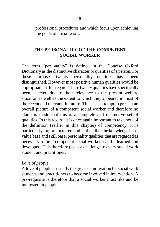professional procedures and which focus upon achieving the goals of social work.

#### **THE PERSONALITY OF THE COMPETENT SOCIAL WORKER**

The term "personality" is defined in the Concise Oxford Dictionary as the distinctive character or qualities of a person. For these purposes twenty personality qualities have been distinguished. However most positive human qualities would be appropriate in this regard. These twenty qualities have specifically been selected due to their relevance to the present welfare situation as well as the extent to which they appeared in most of the recent and relevant literature. This is an attempt to present an overall picture of a competent social worker and therefore no claim is made that this is a complete and distinctive set of qualities. In this regard, it is once again important to take note of the definition (earlier in this chapter) of competency. It is particularly important to remember that, like the knowledge base, value base and skill base, personality qualities that are regarded as necessary to be a competent social worker, can be learned and developed. This therefore poses a challenge to every social work student and practitioner.

#### *Love of people*

A love of people is usually the greatest motivation for social work students and practitioners to become involved in intervention. A pre-requisite is therefore that a social worker must like and be interested in people.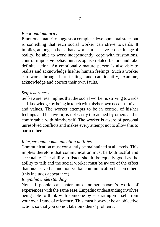#### *Emotional maturity*

Emotional maturity suggests a complete developmental state, but is something that each social worker can strive towards. It implies, amongst others, that a worker must have a sober image of reality, be able to work independently, cope with frustrations, control impulsive behaviour, recognise related factors and take definite action. An emotionally mature person is also able to realise and acknowledge his/her human feelings. Such a worker can work through hurt feelings and can identify, examine, acknowledge and correct their own faults.

#### *Self-awareness*

Self-awareness implies that the social worker is striving towards self-knowledge by being in touch with his/her own needs, motives and values. The worker attempts to be in control of his/her feelings and behaviour, is not easily threatened by others and is comfortable with him/herself. The worker is aware of personal unresolved conflicts and makes every attempt not to allow this to harm others.

#### *Interpersonal communication abilities*

Communication must constantly be maintained at all levels. This implies therefore that communication must be both tactful and acceptable. The ability to listen should be equally good as the ability to talk and the social worker must be aware of the effect that his/her verbal and non-verbal communication has on others (this includes appearance).

#### *Empathic understanding*

Not all people can enter into another person's world of experiences with the same ease. Empathic understanding involves being able to think with someone by separating yourself from your own frame of reference. This must however be an objective action, so that you do not take on others" problems.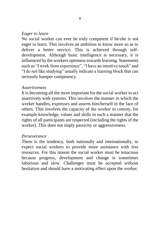#### *Eager to learn*

No social worker can ever be truly competent if he/she is not eager to learn. This involves an ambition to know more so as to deliver a better service. This is achieved through selfdevelopment. Although basic intelligence is necessary, it is influenced by the workers openness towards learning. Statements such as "I work from experience", "I have an intuitive touch" and "I do not like studying" usually indicate a learning block that can seriously hamper competency.

#### *Assertiveness*

It is becoming all the more important for the social worker to act assertively with systems. This involves the manner in which the worker handles, expresses and asserts him/herself in the face of others. This involves the capacity of the worker to convey, for example knowledge, values and skills in such a manner that the rights of all participants are respected (including the rights of the worker). This does not imply passivity or aggressiveness.

#### *Perseverance*

There is the tendency, both nationally and internationally, to expect social workers to provide more assistance with less resources. For this reason the social worker must be tenacious because progress, development and change is sometimes laborious and slow. Challenges must be accepted without hesitation and should have a motivating effect upon the worker.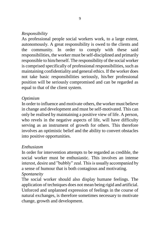#### *Responsibility*

As professional people social workers work, to a large extent, autonomously. A great responsibility is owed to the clients and the community. In order to comply with these said responsibilities, the worker must be self-disciplined and primarily responsible to him/herself. The responsibility of the social worker is comprised specifically of professional responsibilities, such as maintaining confidentiality and general ethics. If the worker does not take basic responsibilities seriously, his/her professional position will be seriously compromised and can be regarded as equal to that of the client system.

#### *Optimism*

In order to influence and motivate others, the worker must believe in change and development and must be self-motivated. This can only be realised by maintaining a positive view of life. A person, who revels in the negative aspects of life, will have difficulty serving as an instrument of growth for others. This therefore involves an optimistic belief and the ability to convert obstacles into positive opportunities.

#### *Enthusiasm*

In order for intervention attempts to be regarded as credible, the social worker must be enthusiastic. This involves an intense interest, desire and "bubbly" zeal. This is usually accompanied by a sense of humour that is both contagious and motivating.

#### *Spontaneity*

The social worker should also display humane feelings. The application of techniques does not mean being rigid and artificial. Unforced and unplanned expression of feelings in the course of natural exchanges, is therefore sometimes necessary to motivate change, growth and development.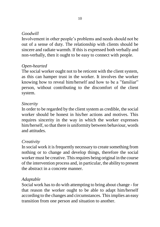#### *Goodwill*

Involvement in other people"s problems and needs should not be out of a sense of duty. The relationship with clients should be sincere and radiate warmth. If this is expressed both verbally and non-verbally, then it ought to be easy to connect with people.

#### *Open-hearted*

The social worker ought not to be reticent with the client system, as this can hamper trust in the worker. It involves the worker knowing how to reveal him/herself and how to be a "familiar" person, without contributing to the discomfort of the client system.

#### *Sincerity*

In order to be regarded by the client system as credible, the social worker should be honest in his/her actions and motives. This requires sincerity in the way in which the worker expresses him/herself, so that there is uniformity between behaviour, words and attitudes.

#### *Creativity*

In social work it is frequently necessary to create something from nothing or to change and develop things, therefore the social worker must be creative. This requires being original in the course of the intervention process and, in particular, the ability to present the abstract in a concrete manner.

#### *Adaptable*

Social work has to do with attempting to bring about change - for that reason the worker ought to be able to adapt him/herself according to the changes and circumstances. This implies an easy transition from one person and situation to another.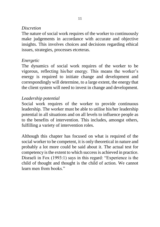#### *Discretion*

The nature of social work requires of the worker to continuously make judgements in accordance with accurate and objective insights. This involves choices and decisions regarding ethical issues, strategies, processes etceteras.

#### *Energetic*

The dynamics of social work requires of the worker to be vigorous, reflecting his/her energy. This means the worker"s energy is required to initiate change and development and correspondingly will determine, to a large extent, the energy that the client system will need to invest in change and development.

#### *Leadership potential*

Social work requires of the worker to provide continuous leadership. The worker must be able to utilise his/her leadership potential in all situations and on all levels to influence people as to the benefits of intervention. This includes, amongst others, fulfilling a variety of intervention roles.

Although this chapter has focused on what is required of the social worker to be competent, it is only theoretical in nature and probably a lot more could be said about it. The actual test for competency is the extent to which success is achieved in practice. Disraeli in Fox (1993:1) says in this regard: "Experience is the child of thought and thought is the child of action. We cannot learn men from books."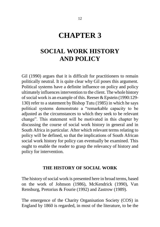## **CHAPTER 3**

## **SOCIAL WORK HISTORY AND POLICY**

Gil (1990) argues that it is difficult for practitioners to remain politically neutral. It is quite clear why Gil poses this argument. Political systems have a definite influence on policy and policy ultimately influences intervention to the client. The whole history of social work is an example of this. Reeser & Epstein (1990:129- 130) refer to a statement by Bishop Tutu (1985) in which he says political systems demonstrate a "remarkable capacity to be adjusted as the circumstances to which they seek to be relevant change". This statement will be motivated in this chapter by discussing the course of social work history in general and in South Africa in particular. After which relevant terms relating to policy will be defined, so that the implications of South African social work history for policy can eventually be examined. This ought to enable the reader to grasp the relevancy of history and policy for intervention.

#### **THE HISTORY OF SOCIAL WORK**

The history of social work is presented here in broad terms, based on the work of Johnson (1986), McKendrick (1990), Van Rensburg, Pretorius & Fourie (1992) and Zastrow (1989).

The emergence of the Charity Organisation Society (COS) in England by 1860 is regarded, in most of the literature, to be the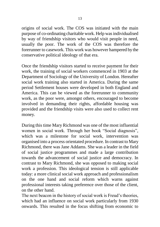origins of social work. The COS was initiated with the main purpose of co-ordinating charitable work. Help was individualised by way of friendship visitors who would visit people in need, usually the poor. The work of the COS was therefore the forerunner to casework. This work was however hampered by the conservative political ideology of that era.

Once the friendship visitors started to receive payment for their work, the training of social workers commenced in 1903 at the Department of Sociology of the University of London. Hereafter social work training also started in America. During the same period Settlement houses were developed in both England and America. This can be viewed as the forerunner to community work, as the poor were, amongst others, encouraged to become involved in demanding their rights, affordable housing was provided and the friendship visits were also used to collect rent money.

During this time Mary Richmond was one of the most influential women in social work. Through her book "Social diagnosis", which was a milestone for social work, intervention was organised into a process orientated procedure. In contrast to Mary Richmond, there was Jane Addams. She was a leader in the field of social justice programmes and made a large contribution towards the advancement of social justice and democracy. In contrast to Mary Richmond, she was opposed to making social work a profession. This ideological tension is still applicable today: a more clinical social work approach and professionalism on the one hand and social reform which warns against professional interests taking preference over those of the client, on the other hand.

The next beacon in the history of social work is Freud's theories, which had an influence on social work particularly from 1930 onwards. This resulted in the focus shifting from economic to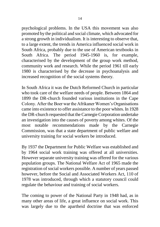psychological problems. In the USA this movement was also promoted by the political and social climate, which advocated for a strong growth in individualism. It is interesting to observe that, to a large extent, the trends in America influenced social work in South Africa, probably due to the use of American textbooks in South Africa. The period 1945-1960 is, for example, characterised by the development of the group work method, community work and research. While the period 1961 till early 1980 is characterised by the decrease in psychoanalysis and increased recognition of the social systems theory.

In South Africa it was the Dutch Reformed Church in particular who took care of the welfare needs of people. Between 1864 and 1899 the DR-church founded various institutions in the Cape Colony. After the Boer war the Afrikaner Women"s Organisations came into existence to offer assistance to the poor whites. In 1928 the DR-church requested that the Carnegie Corporation undertake an investigation into the causes of poverty among whites. Of the most notable recommendations made by the Carnegie Commission, was that a state department of public welfare and university training for social workers be introduced.

By 1937 the Department for Public Welfare was established and by 1964 social work training was offered at all universities. However separate university training was offered for the various population groups. The National Welfare Act of 1965 made the registration of social workers possible. A number of years passed however, before the Social and Associated Workers Act, 110 of 1978 was introduced, through which a statutory council could regulate the behaviour and training of social workers.

The coming to power of the National Party in 1948 had, as in many other areas of life, a great influence on social work. This was largely due to the apartheid doctrine that was enforced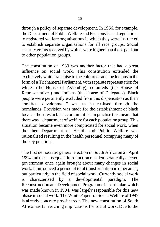through a policy of separate development. In 1966, for example, the Department of Public Welfare and Pensions issued regulations to registered welfare organisations in which they were instructed to establish separate organisations for all race groups. Social security grants received by whites were higher than those paid out to other population groups.

The constitution of 1983 was another factor that had a great influence on social work. This constitution extended the exclusively white franchise to the coloureds and the Indians in the form of a Trichameral Parliament, with separate representation for whites (the House of Assembly), coloureds (the House of Representatives) and Indians (the House of Delegates). Black people were pertinently excluded from this dispensation as their "political development" was to be realised through the homelands. Provision was made for the establishment of black local authorities in black communities. In practise this meant that there was a department of welfare for each population group. This situation became even more complicated for social work, when the then Department of Health and Public Welfare was rationalised resulting in the health personnel occupying many of the key positions.

The first democratic general election in South Africa on 27 April 1994 and the subsequent introduction of a democratically elected government once again brought about many changes in social work. It introduced a period of total transformation in other areas, but particularly in the field of social work. Currently social work is characterised by a developmental paradigm. The Reconstruction and Development Programme in particular, which was made known in 1994, was largely responsible for this new phase in social work. The White Paper for Social Welfare of 1997 is already concrete proof hereof. The new constitution of South Africa has far reaching implications for social work. Due to the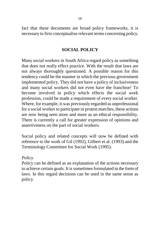fact that these documents are broad policy frameworks, it is necessary to first conceptualise relevant terms concerning policy.

#### **SOCIAL POLICY**

Many social workers in South Africa regard policy as something that does not really effect practice. With the result that laws are not always thoroughly questioned. A possible reason for this tendency could be the manner in which the previous government implemented policy. They did not have a policy of inclusiveness and many social workers did not even have the franchise! To become involved in policy which effects the social work profession, could be made a requirement of every social worker. Where, for example, it was previously regarded as unprofessional for a social worker to participate in protest marches, these actions are now being seen more and more as an ethical responsibility. There is currently a call for greater expression of opinions and assertiveness on the part of social workers.

Social policy and related concepts will now be defined with reference to the work of Gil (1992), Gilbert et al. (1993) and the Terminology Committee for Social Work (1995).

#### *Policy*

Policy can be defined as an explanation of the actions necessary to achieve certain goals. It is sometimes formulated in the form of laws. In this regard decisions can be used in the same sense as policy.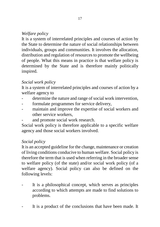#### *Welfare policy*

It is a system of interrelated principles and courses of action by the State to determine the nature of social relationships between individuals, groups and communities. It involves the allocation, distribution and regulation of resources to promote the wellbeing of people. What this means in practice is that welfare policy is determined by the State and is therefore mainly politically inspired.

#### *Social work policy*

It is a system of interrelated principles and courses of action by a welfare agency to

- determine the nature and range of social work intervention,
- formulate programmes for service delivery,
- maintain and improve the expertise of social workers and other service workers,
- and promote social work research.

Social work policy is therefore applicable to a specific welfare agency and those social workers involved.

#### *Social policy*

It is an accepted guideline for the change, maintenance or creation of living conditions conducive to human welfare. Social policy is therefore the term that is used when referring in the broader sense to welfare policy (of the state) and/or social work policy (of a welfare agency). Social policy can also be defined on the following levels:

- It is a philosophical concept, which serves as principles according to which attempts are made to find solutions to problems.
- It is a product of the conclusions that have been made. It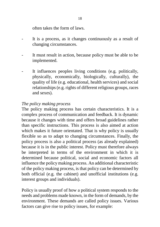often takes the form of laws.

- It is a process, as it changes continuously as a result of changing circumstances.
- It must result in action, because policy must be able to be implemented.
- It influences peoples living conditions (e.g. politically, physically, economically, biologically, culturally), the quality of life (e.g. educational, health services) and social relationships (e.g. rights of different religious groups, races and sexes).

#### *The policy making process*

The policy making process has certain characteristics. It is a complex process of communication and feedback. It is dynamic because it changes with time and offers broad guidelines rather than specific instructions. This process is also aimed at action which makes it future orientated. That is why policy is usually flexible so as to adapt to changing circumstances. Finally, the policy process is also a political process (as already explained) because it is in the public interest. Policy must therefore always be interpreted in terms of the environment in which it is determined because political, social and economic factors all influence the policy making process. An additional characteristic of the policy making process, is that policy can be determined by both official (e.g. the cabinet) and unofficial institutions (e.g. interest groups and individuals).

Policy is usually proof of how a political system responds to the needs and problems made known, in the form of demands, by the environment. These demands are called policy issues. Various factors can give rise to policy issues, for example: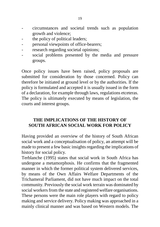- circumstances and societal trends such as population growth and violence;
- the policy of political leaders;
- personal viewpoints of office-bearers;
- research regarding societal opinions;
- social problems presented by the media and pressure groups.

Once policy issues have been raised, policy proposals are submitted for consideration by those concerned. Policy can therefore be initiated at ground level or by the authorities. If the policy is formulated and accepted it is usually issued in the form of a declaration, for example through laws, regulations etceteras. The policy is ultimately executed by means of legislation, the courts and interest groups.

#### **THE IMPLICATIONS OF THE HISTORY OF SOUTH AFRICAN SOCIAL WORK FOR POLICY**

Having provided an overview of the history of South African social work and a conceptualisation of policy, an attempt will be made to present a few basic insights regarding the implications of history for social policy.

Terblanche (1995) states that social work in South Africa has undergone a metamorphosis. He confirms that the fragmented manner in which the former political system delivered services, by means of the Own Affairs Welfare Departments of the Trichameral Parliament, did not have much impact on the total community. Previously the social work terrain was dominated by social workers from the state and registered welfare organisations. These persons were the main role players with regard to policy making and service delivery. Policy making was approached in a mainly clinical manner and was based on Western models. The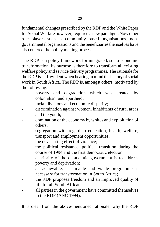fundamental changes prescribed by the RDP and the White Paper for Social Welfare however, required a new paradigm. Now other role players such as community based organisations, nongovernmental organisations and the beneficiaries themselves have also entered the policy making process.

The RDP is a policy framework for integrated, socio-economic transformation. Its purpose is therefore to transform all existing welfare policy and service delivery programmes. The rationale for the RDP is self-evident when bearing in mind the history of social work in South Africa. The RDP is, amongst others, motivated by the following:

- poverty and degradation which was created by colonialism and apartheid;
- racial divisions and economic disparity;
- discrimination against women, inhabitants of rural areas and the youth;
- domination of the economy by whites and exploitation of others;
- segregation with regard to education, health, welfare, transport and employment opportunities;
- the devastating effect of violence;
- the political resistance, political transition during the course of 1994 and the first democratic election;
- a priority of the democratic government is to address poverty and deprivation;
- an achievable, sustainable and viable programme is necessary for transformation in South Africa;
- the RDP proposes freedom and an improved quality of life for all South Africans;
- all parties in the government have committed themselves to the RDP (ANC 1994).

It is clear from the above-mentioned rationale, why the RDP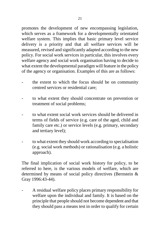promotes the development of new encompassing legislation, which serves as a framework for a developmentally orientated welfare system. This implies that basic primary level service delivery is a priority and that all welfare services will be measured, revised and significantly adapted according to the new policy. For social work services in particular, this involves every welfare agency and social work organisation having to decide to what extent the developmental paradigm will feature in the policy of the agency or organisation. Examples of this are as follows:

- the extent to which the focus should be on community centred services or residential care;
- to what extent they should concentrate on prevention or treatment of social problems;
- to what extent social work services should be delivered in terms of fields of service (e.g. care of the aged, child and family care etc.) or service levels (e.g. primary, secondary and tertiary level);
- to what extent they should work according to specialisation (e.g. social work methods) or rationalisation (e.g. a holistic approach).

The final implication of social work history for policy, to be referred to here, is the various models of welfare, which are determined by means of social policy directives (Bernstein & Gray 1996:43-44).

- A residual welfare policy places primary responsibility for welfare upon the individual and family. It is based on the principle that people should not become dependent and that they should pass a means test in order to qualify for certain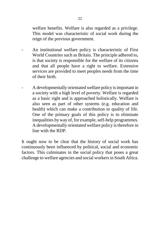welfare benefits. Welfare is also regarded as a privilege. This model was characteristic of social work during the reign of the previous government.

- An institutional welfare policy is characteristic of First World Countries such as Britain. The principle adhered to, is that society is responsible for the welfare of its citizens and that all people have a right to welfare. Extensive services are provided to meet peoples needs from the time of their birth.
- A developmentally orientated welfare policy is important in a society with a high level of poverty. Welfare is regarded as a basic right and is approached holistically. Welfare is also seen as part of other systems (e.g. education and health) which can make a contribution to quality of life. One of the primary goals of this policy is to eliminate inequalities by way of, for example, self-help programmes. A developmentally orientated welfare policy is therefore in line with the RDP.

It ought now to be clear that the history of social work has continuously been influenced by political, social and economic factors. This culminates in the social policy that poses a great challenge to welfare agencies and social workersin South Africa.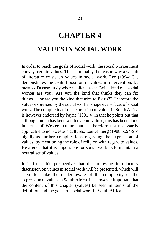# **CHAPTER 4**

# **VALUES IN SOCIAL WORK**

In order to reach the goals of social work, the social worker must convey certain values. This is probably the reason why a wealth of literature exists on values in social work. Lee (1994:131) demonstrates the central position of values in intervention, by means of a case study where a client asks: "What kind of a social worker are you? Are you the kind that thinks they can fix things, or are you the kind that tries to fix us?" Therefore the values expressed by the social worker shape every facet of social work. The complexity of the expression of values in South Africa is however endorsed by Payne (1991:4) in that he points out that although much has been written about values, this has been done in terms of Western culture and is therefore not necessarily applicable to non-western cultures. Loewenberg (1988:X,94-95) highlights further complications regarding the expression of values, by mentioning the role of religion with regard to values. He argues that it is impossible for social workers to maintain a neutral set of values.

It is from this perspective that the following introductory discussion on values in social work will be presented, which will serve to make the reader aware of the complexity of the expression of values in South Africa. It is however important that the content of this chapter (values) be seen in terms of the definition and the goals of social work in South Africa.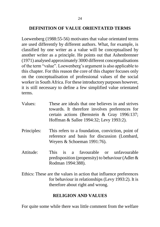## **DEFINITION OF VALUE ORIENTATED TERMS**

Loewenberg (1988:55-56) motivates that value orientated terms are used differently by different authors. What, for example, is classified by one writer as a value will be conceptualised by another writer as a principle. He points out that Ashenbrenner (1971) analysed approximately 3000 different conceptualisations of the term "value". Loewenberg"s argument is also applicable to this chapter. For this reason the core of this chapter focuses only on the conceptualisation of professional values of the social worker in South Africa. For these introductory purposes however, it is still necessary to define a few simplified value orientated terms.

- Values: These are ideals that one believes in and strives towards. It therefore involves preferences for certain actions (Bernstein & Gray 1996:137; Hoffman & Sallee 1994:32; Levy 1993:2).
- Principles: This refers to a foundation, conviction, point of reference and basis for discussion (Lombard, Weyers & Schoeman 1991:76).
- Attitude: This is a favourable or unfavourable predisposition (propensity) to behaviour (Adler & Rodman 1994:388).
- Ethics: These are the values in action that influence preferences for behaviour in relationships (Levy 1993:2). It is therefore about right and wrong.

# **RELIGION AND VALUES**

For quite some while there was little comment from the welfare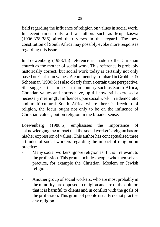field regarding the influence of religion on values in social work. In recent times only a few authors such as Mupedziswa (1996:378-386) aired their views in this regard. The new constitution of South Africa may possibly evoke more responses regarding this issue.

In Loewenberg (1988:15) reference is made to the Christian church as the mother of social work. This reference is probably historically correct, but social work today is certainly not only based on Christian values. A comment by Lombard in Grobbler & Schoeman (1980:6) is also clearly from a certain time perspective. She suggests that in a Christian country such as South Africa, Christian values and norms have, up till now, still exercised a necessary meaningful influence upon social work. In a democratic and multi-cultural South Africa where there is freedom of religion, the focus ought not only to be on the influence of Christian values, but on religion in the broader sense.

Loewenberg (1988:5) emphasises the importance of acknowledging the impact that the social worker"s religion has on his/her expression of values. This author has conceptualised three attitudes of social workers regarding the impact of religion on practice:

- Many social workers ignore religion as if it is irrelevant to the profession. This group includes people who themselves practice, for example the Christian, Moslem or Jewish religion.
- Another group of social workers, who are most probably in the minority, are opposed to religion and are of the opinion that it is harmful to clients and in conflict with the goals of the profession. This group of people usually do not practise any religion.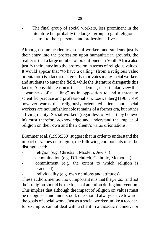The final group of social workers, less prominent in the literature but probably the largest group, regard religion as central to their personal and professional lives.

Although some academics, social workers and students justify their entry into the profession upon humanitarian grounds, the reality is that a large number of practitioners in South Africa also justify their entry into the profession in terms of religious values. It would appear that "to have a calling" (from a religious value orientation) is a factor that greatly motivates many social workers and students to enter the field, while the literature disregards this factor. A possible reason is that academics, in particular, view this "awareness of a calling" as in opposition to and a threat to scientific practice and professionalism. Loewenberg (1988:149) however warns that religiously orientated clients and social workers are not unfashionable remains of a former era, but rather a living reality. Social workers (regardless of what they believe in) must therefore acknowledge and understand the impact of religion on their own and their client's value orientations.

Brammer et al. (1993:350) suggest that in order to understand the impact of values on religion, the following components must be distinguished:

- religion (e.g. Christian, Moslem, Jewish)
- denomination (e.g. DR-church, Catholic, Methodist)
- commitment (e.g. the extent to which religion is practised)
	- individuality (e.g. own opinions and attitudes)

These authors mention how important it is that the *person* and not their religion should be the focus of attention during intervention. This implies that although the impact of religion on values must be recognised and understood, one should always strive towards the goals of social work. Just as a social worker unlike a teacher, for example, cannot deal with a client in a didactic manner, nor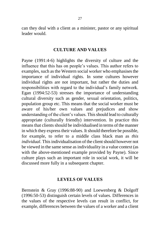can they deal with a client as a minister, pastor or any spiritual leader would.

### **CULTURE AND VALUES**

Payne (1991:4-6) highlights the diversity of culture and the influence that this has on people"s values. This author refers to examples, such as the Western social worker who emphasises the importance of individual rights. In some cultures however individual rights are not important, but rather the duties and responsibilities with regard to the individual's family network. Egan (1994:52-53) stresses the importance of understanding cultural diversity such as gender, sexual orientation, politics, population group etc. This means that the social worker must be aware of his/her own values and prejudices and show understanding of the client"s values. This should lead to culturally appropriate (culturally friendly) intervention. In practice this means that clients should be individualised in terms of the manner in which they express their values. It should therefore be possible, for example, to refer to a middle class black man as *this individual*. This individualisation of the client should however not be viewed in the same sense as individuality in a value context (as with the above-mentioned example provided by Payne). Since culture plays such an important role in social work, it will be discussed more fully in a subsequent chapter.

#### **LEVELS OF VALUES**

Bernstein & Gray (1996:88-90) and Loewenberg & Dolgoff (1996:50-53) distinguish certain levels of values. Differences in the values of the respective levels can result in conflict, for example, differences between the values of a worker and a client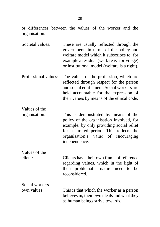or differences between the values of the worker and the organisation.

- Societal values: These are usually reflected through the government, in terms of the policy and welfare model which it subscribes to, for example a residual (welfare is a privilege) or institutional model (welfare is a right).
- Professional values: The values of the profession, which are reflected through respect for the person and social entitlement. Social workers are held accountable for the expression of their values by means of the ethical code.
- organisation: This is demonstrated by means of the policy of the organisation involved, for example, by only providing social relief for a limited period. This reflects the organisation"s value of encouraging independence.

Values of the

Values of the

Social workers

client: Clients have their own frame of reference regarding values, which in the light of their problematic nature need to be reconsidered.

own values: This is that which the worker as a person believes in, their own ideals and what they as human beings strive towards.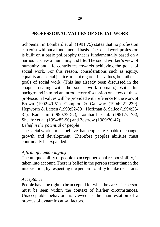### **PROFESSIONAL VALUES OF SOCIAL WORK**

Schoeman in Lombard et al. (1991:75) states that no profession can exist without a fundamental basis. The social work profession is built on a basic philosophy that is fundamentally based on a particular view of humanity and life. The social worker"s view of humanity and life contributes towards achieving the goals of social work. For this reason, considerations such as equity, equality and social justice are not regarded as values, but rather as goals of social work. (This has already been discussed in the chapter dealing with the social work domain.) With this background in mind an introductory discussion on a few of these professional values will be provided with reference to the work of Brown (1992:49-51), Compton & Galaway (1994:221-239), Hepworth & Larsen (1993:52-89), Hoffman & Sallee (1994:33- 37), Kadushin (1990:39-57), Lombard et al. (1991:75-78), Sheafor et al. (1994:85-96) and Zastrow (1989:30-47). *Belief in the potential of people*

The social worker must believe that people are capable of change, growth and development. Therefore peoples abilities must continually be expanded.

### *Affirming human dignity*

The unique ability of people to accept personal responsibility, is taken into account. There is belief in the person rather than in the intervention, by respecting the person's ability to take decisions.

### *Acceptance*

People have the right to be accepted for what they are. The person must be seen within the context of his/her circumstances. Unacceptable behaviour is viewed as the manifestation of a process of dynamic causal factors.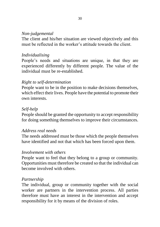### *Non-judgemental*

The client and his/her situation are viewed objectively and this must be reflected in the worker's attitude towards the client.

## *Individualising*

People"s needs and situations are unique, in that they are experienced differently by different people. The value of the individual must be re-established.

## *Right to self-determination*

People want to be in the position to make decisions themselves, which effect their lives. People have the potential to promote their own interests.

## *Self-help*

People should be granted the opportunity to accept responsibility for doing something themselves to improve their circumstances.

### *Address real needs*

The needs addressed must be those which the people themselves have identified and not that which has been forced upon them.

### *Involvement with others*

People want to feel that they belong to a group or community. Opportunities must therefore be created so that the individual can become involved with others.

## *Partnership*

The individual, group or community together with the social worker are partners in the intervention process. All parties therefore must have an interest in the intervention and accept responsibility for it by means of the division of roles.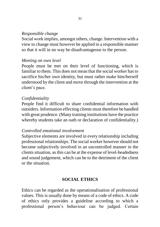### *Responsible change*

Social work implies, amongst others, change. Intervention with a view to change must however be applied in a responsible manner so that it will in no way be disadvantageous to the person.

#### *Meeting on own level*

People must be met on their level of functioning, which is familiar to them. This does not mean that the social worker has to sacrifice his/her own identity, but must rather make him/herself understood by the client and move through the intervention at the client's pace.

#### *Confidentiality*

People find it difficult to share confidential information with outsiders. Information effecting clients must therefore be handled with great prudence. (Many training institutions have the practice whereby students take an oath or declaration of confidentiality.)

### *Controlled emotional involvement*

Subjective elements are involved in every relationship including professional relationships. The social worker however should not become subjectively involved in an uncontrolled manner in the clients situation, as this can be at the expense of level-headedness and sound judgement, which can be to the detriment of the client or the situation.

### **SOCIAL ETHICS**

Ethics can be regarded as the operationalisation of professional values. This is usually done by means of a code of ethics. A code of ethics only provides a guideline according to which a professional person"s behaviour can be judged. Certain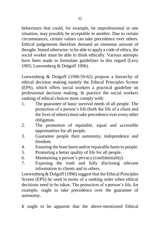behaviours that could, for example, be unprofessional in one situation, may possibly be acceptable in another. Due to certain circumstances, certain values can take precedence over others. Ethical judgements therefore demand an immense amount of thought. Stated otherwise: to be able to apply a code of ethics, the social worker must be able to think ethically. Various attempts have been made to formulate guidelines in this regard (Levy 1993; Loewenberg & Dolgoff 1996).

Loewenberg & Dolgoff (1996:59-62) propose a hierarchy of ethical decision making namely the Ethical Principles Screen (EPS), which offers social workers a practical guideline on professional decision making. In practice the social workers ranking of ethical choices must comply with:

- 1. The guarantee of basic survival needs of all people. The protection of a person"s life (both the life of a client and the lives of others) must take precedence over every other obligation.
- 2. The promotion of equitable, equal and accessible opportunities for all people.
- 3. Guarantee people their autonomy, independence and freedom.
- 4. Ensuring the least harm and/or repairable harm to people.
- 5. Promoting a better quality of life for all people.
- 6. Maintaining a person"s privacy (confidentiality).
- 7. Exposing the truth and fully disclosing relevant information to clients and to others.

Loewenberg & Dolgoff (1996) suggest that the Ethical Principles Screen (EPS) be used in terms of a ranking order when ethical decisions need to be taken. The protection of a person"s life, for example, ought to take precedence over the guarantee of autonomy.

It ought to be apparent that the above-mentioned Ethical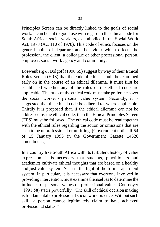Principles Screen can be directly linked to the goals of social work. It can be put to good use with regard to the ethical code for South African social workers, as embodied in the Social Work Act, 1978 (Act 110 of 1978). This code of ethics focuses on the general point of departure and behaviour which effects the profession, the client, a colleague or other professional person, employer, social work agency and community.

Loewenberg & Dolgoff (1996:59) suggest by way of their Ethical Rules Screen (ERS) that the code of ethics should be examined early on in the course of an ethical dilemma. It must first be established whether any of the rules of the ethical code are applicable. The rules of the ethical code must take preference over the social worker"s personal value system. Secondly, it is suggested that the ethical code be adhered to, where applicable. Thirdly it is proposed that, if the ethical dilemma can not be addressed by the ethical code, then the Ethical Principles Screen (EPS) must be followed. The ethical code must be read together with the ethical rules regarding the action or omissions that are seen to be unprofessional or unfitting. (Government notice R.54 of 15 January 1993 in the Government Gazette 14526 amendment.)

In a country like South Africa with its turbulent history of value expression, it is necessary that students, practitioners and academics cultivate ethical thoughts that are based on a healthy and just value system. Seen in the light of the former apartheid system, in particular, it is necessary that everyone involved in providing intervention, must examine themselves to determine the influence of personal values on professional values. Cournoyer (1991:58) states powerfully: "The skill of ethical decision making is fundamental to professional social work practice. Without such skill, a person cannot legitimately claim to have achieved professional status."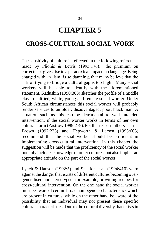# **CHAPTER 5**

# **CROSS-CULTURAL SOCIAL WORK**

The sensitivity of culture is reflected in the following references made by Plionis & Lewis (1995:176): "the premium on correctness gives rise to a paradoxical impact: no language. Being charged with an "ism" is so damning, that many believe that the risk of trying to bridge a cultural gap is too high." Many social workers will be able to identify with the aforementioned statement. Kadushin (1990:303) sketches the profile of a middle class, qualified, white, young and female social worker. Under South African circumstances this social worker will probably render services to an older, disadvantaged, poor, black man. A situation such as this can be detrimental to well intended intervention, if the social worker works in terms of her own cultural norm (Zastrow 1989:279). For this reason authors such as Brown (1992:233) and Hepworth & Larsen (1993:605) recommend that the social worker should be proficient in implementing cross-cultural intervention. In this chapter the suggestion will be made that the proficiency of the social worker not only includes knowledge of other cultures, but also implies an appropriate attitude on the part of the social worker.

Lynch & Hanson (1992:5) and Sheafor et al. (1994:410) warn against the danger that exists of different cultures becoming overgeneralised and stereotyped, for example, providing recipes for cross-cultural intervention. On the one hand the social worker must be aware of certain broad homogenous characteristics which are present in cultures, while on the other hand be aware of the possibility that an individual may not present these specific cultural characteristics. Due to the cultural diversity that exists in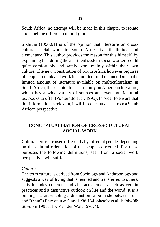South Africa, no attempt will be made in this chapter to isolate and label the different cultural groups.

Sikhitha (1996:61) is of the opinion that literature on crosscultural social work in South Africa is still limited and elementary. This author provides the reason for this himself, by explaining that during the apartheid system social workers could quite comfortably and safely work mainly within their own culture. The new Constitution of South Africa however requires of people to think and work in a multicultural manner. Due to the limited amount of literature available on multiculturalism in South Africa, this chapter focuses mainly on American literature, which has a wide variety of sources and even multicultural textbooks to offer (Ponterotto et al. 1995). In order to ensure that this information is relevant, it will be conceptualised from a South African perspective.

# **CONCEPTUALISATION OF CROSS-CULTURAL SOCIAL WORK**

Cultural terms are used differently by different people, depending on the cultural orientation of the people concerned. For these purposes the following definitions, seen from a social work perspective, will suffice.

### *Culture*

The term culture is derived from Sociology and Anthropology and suggests a way of living that is learned and transferred to others. This includes concrete and abstract elements such as certain practices and a distinctive outlook on life and the world. It is a binding factor, enabling a distinction to be made between "us" and "them" (Bernstein & Gray 1996:134; Sheafor et al. 1994:408; Strydom 1995:115; Van der Walt 1991:4).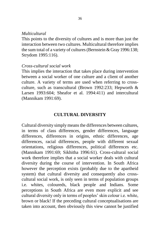#### *Multicultural*

This points to the diversity of cultures and is more than just the interaction between two cultures. Multicultural therefore implies the sum total of a variety of cultures (Bernstein & Gray 1996:138; Strydom 1995:116).

#### *Cross-cultural social work*

This implies the interaction that takes place during intervention between a social worker of one culture and a client of another culture. A variety of terms are used when referring to crossculture, such as transcultural (Brown 1992:233; Hepworth & Larsen 1993:604; Sheafor et al. 1994:411) and intercultural (Mannikam 1991:69).

### **CULTURAL DIVERSITY**

Cultural diversity simply means the differences between cultures, in terms of class differences, gender differences, language differences, differences in origins, ethnic differences, age differences, racial differences, people with different sexual orientations, religious differences, political differences etc. (Mannikam 1991:69; Sikhitha 1996:61). Cross-cultural social work therefore implies that a social worker deals with cultural diversity during the course of intervention. In South Africa however the perception exists (probably due to the apartheid system) that cultural diversity and consequently also crosscultural social work, is only seen in terms of population groups i.e. whites, coloureds, black people and Indians. Some perceptions in South Africa are even more explicit and see cultural diversity only in terms of peoples" skin colour i.e. white, brown or black! If the preceding cultural conceptualisations are taken into account, then obviously this view cannot be justified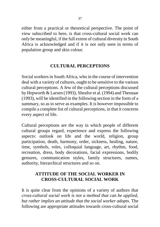either from a practical or theoretical perspective. The point of view subscribed to here, is that cross-cultural social work can only be meaningful, if the full extent of cultural diversity in South Africa is acknowledged and if it is not only seen in terms of population group and skin colour.

## **CULTURAL PERCEPTIONS**

Social workers in South Africa, who in the course of intervention deal with a variety of cultures, ought to be sensitive to the various cultural perceptions. A few of the cultural perceptions discussed by Hepworth & Larsen (1993), Sheafor et al. (1994) and Thesnaar (1993), will be identified in the following section in the form of a summary, so as to serve as examples. It is however impossible to compile a complete list of cultural perceptions, in that it concerns every aspect of life.

Cultural perceptions are the way in which people of different cultural groups regard, experience and express the following aspects: outlook on life and the world, religion, group participation, death, harmony, order, sickness, healing, nature, time, symbols, roles, colloquial language, art, rhythm, food, recreation, dress, body decorations, facial expressions, bodily gestures, communication styles, family structures, names, authority, hierarchical structures and so on.

# **ATTITUDE OF THE SOCIAL WORKER IN CROSS-CULTURAL SOCIAL WORK**

It is quite clear from the opinions of a variety of authors that *cross-cultural social work is not a method that can be applied, but rather implies an attitude that the social worker adopts.* The following are appropriate attitudes towards cross-cultural social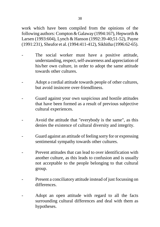work which have been compiled from the opinions of the following authors: Compton & Galaway (1994:167), Hepworth & Larsen (1993:604), Lynch & Hanson (1992:39-40;51-52), Payne (1991:231), Sheafor et al. (1994:411-412), Sikhitha (1996:62-65).

- The social worker must have a positive attitude, understanding, respect, self-awareness and appreciation of his/her own culture, in order to adopt the same attitude towards other cultures.
- Adopt a cordial attitude towards people of other cultures, but avoid insincere over-friendliness.
- Guard against your own suspicious and hostile attitudes that have been formed as a result of previous subjective cultural experiences.
- Avoid the attitude that "everybody is the same", as this denies the existence of cultural diversity and integrity.
- Guard against an attitude of feeling sorry for or expressing sentimental sympathy towards other cultures.
- Prevent attitudes that can lead to over identification with another culture, as this leads to confusion and is usually not acceptable to the people belonging to that cultural group.
- Present a conciliatory attitude instead of just focussing on differences.
- Adopt an open attitude with regard to all the facts surrounding cultural differences and deal with them as hypotheses.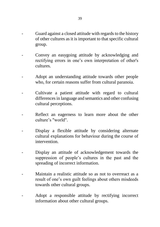- Guard against a closed attitude with regards to the history of other cultures as it is important to that specific cultural group.
- Convey an easygoing attitude by acknowledging and rectifying errors in one"s own interpretation of other's cultures.
- Adopt an understanding attitude towards other people who, for certain reasons suffer from cultural paranoia.
- Cultivate a patient attitude with regard to cultural differences in language and semantics and other confusing cultural perceptions.
- Reflect an eagerness to learn more about the other culture"s "world".
- Display a flexible attitude by considering alternate cultural explanations for behaviour during the course of intervention.
- Display an attitude of acknowledgement towards the suppression of people"s cultures in the past and the spreading of incorrect information.
- Maintain a realistic attitude so as not to overreact as a result of one"s own guilt feelings about others misdeeds towards other cultural groups.
- Adopt a responsible attitude by rectifying incorrect information about other cultural groups.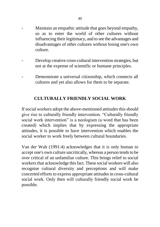- Maintain an empathic attitude that goes beyond empathy, so as to enter the world of other cultures without influencing their legitimacy, and to see the advantages and disadvantages of other cultures without losing one's own culture.
- Develop creative cross-cultural intervention strategies, but not at the expense of scientific or humane principles.
- Demonstrate a universal citizenship, which connects all cultures and yet also allows for them to be separate.

## **CULTURALLY FRIENDLY SOCIAL WORK**

If social workers adopt the above-mentioned attitudes this should give rise to culturally friendly intervention. "Culturally friendly social work intervention" is a neologism (a word that has been created) which implies that by expressing the appropriate attitudes, it is possible to have intervention which enables the social worker to work freely between cultural boundaries.

Van der Walt (1991:4) acknowledges that it is only human to accept one's own culture uncritically, whereas a person tends to be over critical of an unfamiliar culture. This brings relief to social workers that acknowledge this fact. These social workers will also recognise cultural diversity and perceptions and will make concerted efforts to express appropriate attitudes in cross-cultural social work. Only then will culturally friendly social work be possible.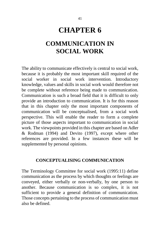# **CHAPTER 6**

# **COMMUNICATION IN SOCIAL WORK**

The ability to communicate effectively is central to social work, because it is probably the most important skill required of the social worker in social work intervention. Introductory knowledge, values and skills in social work would therefore not be complete without reference being made to communication. Communication is such a broad field that it is difficult to only provide an introduction to communication. It is for this reason that in this chapter only the most important components of communication will be conceptualised, from a social work perspective. This will enable the reader to form a complete picture of those aspects important to communication in social work. The viewpoints provided in this chapter are based on Adler & Rodman (1994) and Devito (1997), except where other references are provided. In a few instances these will be supplemented by personal opinions.

### **CONCEPTUALISING COMMUNICATION**

The Terminology Committee for social work (1995:11) define communication as the process by which thoughts or feelings are conveyed, either verbally or non-verbally, by one person to another. Because communication is so complex, it is not sufficient to provide a general definition of communication. Those concepts pertaining to the process of communication must also be defined.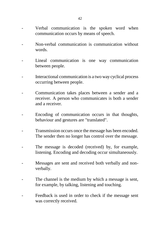- Verbal communication is the spoken word when communication occurs by means of speech.
- Non-verbal communication is communication without words.
- Lineal communication is one way communication between people.
- Interactional communication is a two way cyclical process occurring between people.
- Communication takes places between a sender and a receiver. A person who communicates is both a sender and a receiver.
- Encoding of communication occurs in that thoughts, behaviour and gestures are "translated".
- Transmission occurs once the message has been encoded. The sender then no longer has control over the message.
- The message is decoded (received) by, for example, listening. Encoding and decoding occur simultaneously.
- Messages are sent and received both verbally and nonverbally.
- The channel is the medium by which a message is sent, for example, by talking, listening and touching.
- Feedback is used in order to check if the message sent was correctly received.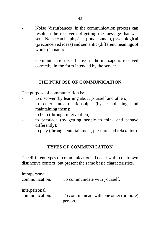- Noise (disturbances) in the communication process can result in the receiver not getting the message that was sent. Noise can be physical (loud sounds), psychological (preconceived ideas) and semantic (different meanings of words) in nature.
- Communication is effective if the message is received correctly, in the form intended by the sender.

### **THE PURPOSE OF COMMUNICATION**

The purpose of communication is:

- to discover (by learning about yourself and others);
- to enter into relationships (by establishing and maintaining them);
- to help (through intervention);
- to persuade (by getting people to think and behave differently);
- to play (through entertainment, pleasure and relaxation).

### **TYPES OF COMMUNICATION**

The different types of communication all occur within their own distinctive context, but present the same basic characteristics.

| Intrapersonal<br>communication: | To communicate with yourself.           |
|---------------------------------|-----------------------------------------|
| Interpersonal                   |                                         |
| communication:                  | To communicate with one other (or more) |
|                                 | person.                                 |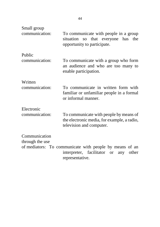| Small group     |                                                                                                                                     |
|-----------------|-------------------------------------------------------------------------------------------------------------------------------------|
| communication:  | To communicate with people in a group<br>situation so that everyone has<br>the<br>opportunity to participate.                       |
| Public          |                                                                                                                                     |
| communication:  | To communicate with a group who form<br>an audience and who are too many to<br>enable participation.                                |
| Written         |                                                                                                                                     |
| communication:  | To communicate in written form with<br>familiar or unfamiliar people in a formal<br>or informal manner.                             |
| Electronic      |                                                                                                                                     |
| communication:  | To communicate with people by means of<br>the electronic media, for example, a radio,<br>television and computer.                   |
| Communication   |                                                                                                                                     |
| through the use |                                                                                                                                     |
|                 | of mediators: To communicate with people by means of an<br>interpreter, facilitator<br>other<br>any<br><b>or</b><br>representative. |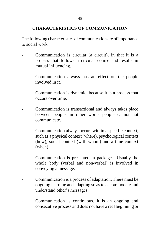## **CHARACTERISTICS OF COMMUNICATION**

The following characteristics of communication are of importance to social work.

- Communication is circular (a circuit), in that it is a process that follows a circular course and results in mutual influencing.
- Communication always has an effect on the people involved in it.
- Communication is dynamic, because it is a process that occurs over time.
- Communication is transactional and always takes place between people, in other words people cannot not communicate.
- Communication always occurs within a specific context, such as a physical context (where), psychological context (how), social context (with whom) and a time context (when).
- Communication is presented in packages. Usually the whole body (verbal and non-verbal) is involved in conveying a message.
- Communication is a process of adaptation. There must be ongoing learning and adapting so as to accommodate and understand other"s messages.
- Communication is continuous. It is an ongoing and consecutive process and does not have a real beginning or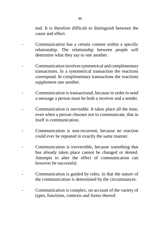end. It is therefore difficult to distinguish between the cause and effect.

- Communication has a certain content within a specific relationship. The relationship between people will determine what they say to one another.
- Communication involves symmetrical and complimentary transactions. In a symmetrical transaction the reactions correspond. In complimentary transactions the reactions supplement one another.
- Communication is transactional, because in order to send a message a person must be both a receiver and a sender.
- Communication is inevitable. It takes place all the time, even when a person chooses not to communicate, that in itself is communication.
- Communication is non-recurrent, because no reaction could ever be repeated in exactly the same manner.
- Communication is irreversible, because something that has already taken place cannot be changed or denied. Attempts to alter the effect of communication can however be successful.
- Communication is guided by rules, in that the nature of the communication is determined by the circumstances.
- Communication is complex, on account of the variety of types, functions, contexts and forms thereof.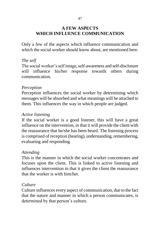## **A FEW ASPECTS WHICH INFLUENCE COMMUNICATION**

Only a few of the aspects which influence communication and which the social worker should know about, are mentioned here.

## *The self*

The social worker"s self image, self-awareness and self-disclosure will influence his/her response towards others during communication.

### *Perception*

Perception influences the social worker by determining which messages will be absorbed and what meanings will be attached to them. This influences the way in which people are judged.

### *Active listening*

If the social worker is a good listener, this will have a great influence on the intervention, in that it will provide the client with the reassurance that he/she has been heard. The listening process is comprised of reception (hearing), understanding, remembering, evaluating and responding.

## *Attending*

This is the manner in which the social worker concentrates and focuses upon the client. This is linked to active listening and influences intervention in that it gives the client the reassurance that the worker is with him/her.

### *Culture*

Culture influences every aspect of communication, due to the fact that the nature and manner in which a person communicates, is determined by that person's culture.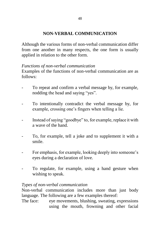## **NON-VERBAL COMMUNICATION**

Although the various forms of non-verbal communication differ from one another in many respects, the one form is usually applied in relation to the other form.

### *Functions of non-verbal communication*

Examples of the functions of non-verbal communication are as follows:

- To repeat and confirm a verbal message by, for example, nodding the head and saying "yes".
- To intentionally contradict the verbal message by, for example, crossing one's fingers when telling a lie.
- Instead of saying "goodbye" to, for example, replace it with a wave of the hand.
- To, for example, tell a joke and to supplement it with a smile.
- For emphasis, for example, looking deeply into some one's eyes during a declaration of love.
- To regulate, for example, using a hand gesture when wishing to speak.

### *Types of non-verbal communication*

Non-verbal communication includes more than just body language. The following are a few examples thereof:

The face: eye movements, blushing, sweating, expressions using the mouth, frowning and other facial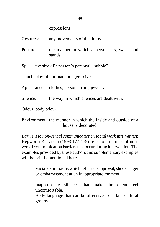expressions.

Gestures: any movements of the limbs.

Posture: the manner in which a person sits, walks and stands.

Space: the size of a person's personal "bubble".

Touch: playful, intimate or aggressive.

Appearance: clothes, personal care, jewelry.

Silence: the way in which silences are dealt with.

Odour: body odour.

Environment: the manner in which the inside and outside of a house is decorated.

*Barriers to non-verbal communication in social work intervention* Hepworth & Larsen (1993:177-179) refer to a number of nonverbal communication barriers that occur during intervention. The examples provided by these authors and supplementary examples will be briefly mentioned here.

- Facial expressions which reflect disapproval, shock, anger or embarrassment at an inappropriate moment.
- Inappropriate silences that make the client feel uncomfortable.
- Body language that can be offensive to certain cultural groups.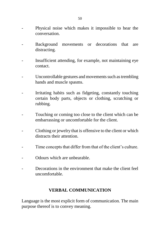- Physical noise which makes it impossible to hear the conversation.
- Background movements or decorations that are distracting.
- Insufficient attending, for example, not maintaining eye contact.
- Uncontrollable gestures and movements such as trembling hands and muscle spasms.
- Irritating habits such as fidgeting, constantly touching certain body parts, objects or clothing, scratching or rubbing.
- Touching or coming too close to the client which can be. embarrassing or uncomfortable for the client.
- Clothing or jewelry that is offensive to the client or which distracts their attention.
- Time concepts that differ from that of the client"s culture.
- Odours which are unbearable.
- Decorations in the environment that make the client feel uncomfortable.

## **VERBAL COMMUNICATION**

Language is the most explicit form of communication. The main purpose thereof is to convey meaning.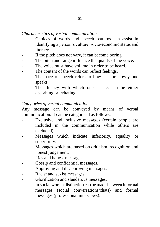## *Characteristics of verbal communication*

- Choices of words and speech patterns can assist in identifying a person"s culture, socio-economic status and literacy.
- If the pitch does not vary, it can become boring.
- The pitch and range influence the quality of the voice.
- The voice must have volume in order to be heard.
- The content of the words can reflect feelings.
- The pace of speech refers to how fast or slowly one speaks.
- The fluency with which one speaks can be either absorbing or irritating.

## *Categories of verbal communication*

Any message can be conveyed by means of verbal communication. It can be categorised as follows:

- Exclusive and inclusive messages (certain people are included in the communication while others are excluded).
- Messages which indicate inferiority, equality or superiority.
- Messages which are based on criticism, recognition and honest judgement.
- Lies and honest messages.
- Gossip and confidential messages.
- Approving and disapproving messages.
- Racist and sexist messages.
- Glorification and slanderous messages.
- In social work a distinction can be made between informal messages (social conversations/chats) and formal messages (professional interviews).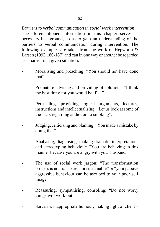*Barriers to verbal communication in social work intervention* The aforementioned information in this chapter serves as necessary background, so as to gain an understanding of the barriers to verbal communication during intervention. The following examples are taken from the work of Hepworth & Larsen (1993:180-187) and can in one way or another be regarded as a barrier in a given situation.

- Moralising and preaching: "You should not have done that".
- Premature advising and providing of solutions: "I think the best thing for you would be if.....".
- Persuading, providing logical arguments, lectures, instructions and intellectualising: "Let us look at some of the facts regarding addiction to smoking".
- Judging, criticising and blaming: "You made a mistake by doing that".
- Analysing, diagnosing, making dramatic interpretations and stereotyping behaviour: "You are behaving in this manner because you are angry with your husband".
- The use of social work jargon: "The transformation process is not transparent or sustainable" or "your passive aggressive behaviour can be ascribed to your poor self image".
- Reassuring, sympathising, consoling: "Do not worry things will work out".
- Sarcasm, inappropriate humour, making light of client's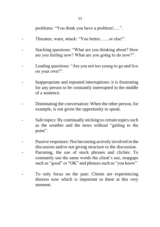problems: "You think you have a problem!.....".

- Threaten, warn, attack: "You better........or else!".
- Stacking questions: "What are you thinking about? How are you feeling now? What are you going to do now?".
- Leading questions: "Are you not too young to go and live on your own?".
- Inappropriate and repeated interruptions: it is frustrating for any person to be constantly interrupted in the middle of a sentence.
- Dominating the conversation: When the other person, for example, is not given the opportunity to speak.
- Safe topics: By continually sticking to certain topics such as the weather and the news without "getting to the point".
- Passive responses: Not becoming actively involved in the discussion and/or not giving structure to the discussion.
- Parroting, the use of stock phrases and clichés: To constantly use the same words the client"s use, stopgaps such as "good" or "OK" and phrases such as "you know".
- To only focus on the past: Clients are experiencing distress now which is important to them at this very moment.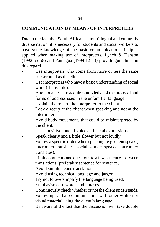## **COMMUNICATION BY MEANS OF INTERPRETERS**

Due to the fact that South Africa is a multilingual and culturally diverse nation, it is necessary for students and social workers to have some knowledge of the basic communication principles applied when making use of interpreters. Lynch & Hanson (1992:55-56) and Paniagua (1994:12-13) provide guidelines in this regard.

- Use interpreters who come from more or less the same background as the client.
- Use interpreters who have a basic understanding of social work (if possible).
- Attempt at least to acquire knowledge of the protocol and forms of address used in the unfamiliar language.
- Explain the role of the interpreter to the client.
- Look directly at the client when speaking and not at the interpreter.
- Avoid body movements that could be misinterpreted by the client.
- Use a positive tone of voice and facial expressions.
- Speak clearly and a little slower but not loudly.
- Follow a specific order when speaking (e.g. client speaks, interpreter translates, social worker speaks, interpreter translates).
- Limit comments and questions to a few sentences between translations (preferably sentence for sentence).
- Avoid simultaneous translations.
- Avoid using technical language and jargon.
- Try not to oversimplify the language being used.
- Emphasise core words and phrases.
- Continuously check whether or not the client understands.
- Follow up verbal communication with other written or visual material using the client"s language.
- Be aware of the fact that the discussion will take double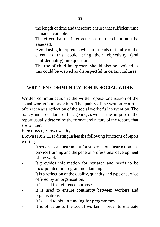the length of time and therefore ensure that sufficient time is made available.

- The effect that the interpreter has on the client must be assessed.
- Avoid using interpreters who are friends or family of the client as this could bring their objectivity (and confidentiality) into question.
- The use of child interpreters should also be avoided as this could be viewed as disrespectful in certain cultures.

# **WRITTEN COMMUNICATION IN SOCIAL WORK**

Written communication is the written operationalisation of the social worker's intervention. The quality of the written report is often seen as a reflection of the social worker"s intervention. The policy and procedures of the agency, as well as the purpose of the report usually determine the format and nature of the reports that are written.

## *Functions of report writing*

Brown (1992:131) distinguishes the following functions of report writing.

- It serves as an instrument for supervision, instruction, inservice training and the general professional development of the worker.
- It provides information for research and needs to be incorporated in programme planning.
- It is a reflection of the quality, quantity and type of service offered by an organisation.
- It is used for reference purposes.
- It is used to ensure continuity between workers and organisations.
- It is used to obtain funding for programmes.
- It is of value to the social worker in order to evaluate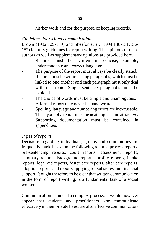his/her work and for the purpose of keeping records.

### *Guidelines for written communication*

Brown (1992:129-139) and Sheafor et al. (1994:148-151,156- 157) identify guidelines for report writing. The opinions of these authors as well as supplementary opinions are provided here.

- Reports must be written in concise, suitable, understandable and correct language.
- The purpose of the report must always be clearly stated.
- Reports must be written using paragraphs, which must be linked to one another and each paragraph must only deal with one topic. Single sentence paragraphs must be avoided.
- The choice of words must be simple and unambiguous.
- A formal report may never be hand written.
- Spelling, language and numbering errors are inexcusable.
- The layout of a report must be neat, logical and attractive.
- Supporting documentation must be contained in appendixes.

# *Types of reports*

Decisions regarding individuals, groups and communities are frequently made based on the following reports: process reports, pre-sentencing reports, court reports, assessment reports, summary reports, background reports, profile reports, intake reports, legal aid reports, foster care reports, after care reports, adoption reports and reports applying for subsidies and financial support. It ought therefore to be clear that written communication in the form of report writing, is a fundamental task of a social worker.

Communication is indeed a complex process. It would however appear that students and practitioners who communicate effectively in their private lives, are also effective communicators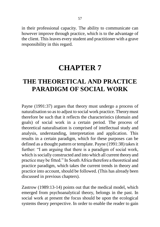in their professional capacity. The ability to communicate can however improve through practice, which is to the advantage of the client. This leaves every student and practitioner with a grave responsibility in this regard.

# **CHAPTER 7**

# **THE THEORETICAL AND PRACTICE PARADIGM OF SOCIAL WORK**

Payne (1991:37) argues that theory must undergo a process of naturalisation so as to adjust to social work practice. Theory must therefore be such that it reflects the characteristics (domain and goals) of social work in a certain period. The process of theoretical naturalisation is comprised of intellectual study and analysis, understanding, interpretation and application. This results in a certain paradigm, which for these purposes can be defined as a thought pattern or template. Payne (1991:38) takes it further: "I am arguing that there is a paradigm of social work, which is socially constructed and into which all current theory and practice may be fitted." In South Africa therefore a theoretical and practice paradigm, which takes the current trends in theory and practice into account, should be followed. (This has already been discussed in previous chapters).

Zastrow (1989:13-14) points out that the medical model, which emerged from psychoanalytical theory, belongs in the past. In social work at present the focus should be upon the ecological systems theory perspective. In order to enable the reader to gain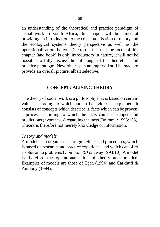an understanding of the theoretical and practice paradigm of social work in South Africa, this chapter will be aimed at providing an introduction to the conceptualisation of theory and the ecological systems theory perspective as well as the operationalisation thereof. Due to the fact that the focus of this chapter (and book) is only introductory in nature, it will not be possible to fully discuss the full range of the theoretical and practice paradigm. Nevertheless an attempt will still be made to provide an overall picture, albeit selective.

## **CONCEPTUALISING THEORY**

The theory of social work is a philosophy that is based on certain values according to which human behaviour is explained. It consists of concepts which describe it, facts which can be proven, a process according to which the facts can be arranged and predictions (hypotheses) regarding the facts (Brammer 1993:158). Theory is therefore not merely knowledge or information.

### *Theory and models*

A model is an organised set of guidelines and procedures, which is based on research and practice experience and which can offer a solution to problems (Compton & Galaway 1994:10). A model is therefore the operationalisation of theory and practice. Examples of models are those of Egan (1994) and Carkhuff & Anthony (1994).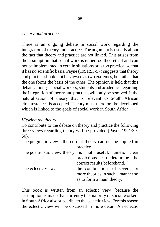#### *Theory and practice*

There is an ongoing debate in social work regarding the integration of theory and practice. The argument is usually about the fact that theory and practice are not linked. This arises from the assumption that social work is either too theoretical and can not be implemented in certain situations or is too practical so that it has no scientific basis. Payne (1991:53-57) suggests that theory and practice should not be viewed as two extremes, but rather that the one forms the basis of the other. The opinion is held that this debate amongst social workers, students and academics regarding the integration of theory and practice, will only be resolved, if the naturalisation of theory that is relevant to South African circumstances is accepted. Theory must therefore be developed which is linked to the goals of social work in South Africa.

#### *Viewing the theory*

To contribute to the debate on theory and practice the following three views regarding theory will be provided (Payne 1991:39- 50).

The pragmatic view: the current theory can not be applied in practice.

| The positivistic view: theory is not useful, unless clear |                             |  |                                   |  |  |
|-----------------------------------------------------------|-----------------------------|--|-----------------------------------|--|--|
|                                                           |                             |  | predictions can determine the     |  |  |
|                                                           | correct results beforehand. |  |                                   |  |  |
| The eclectic view:                                        |                             |  | the combinations of several or    |  |  |
|                                                           |                             |  | more theories in such a manner so |  |  |
|                                                           |                             |  | as to form a main theory.         |  |  |

This book is written from an eclectic view, because the assumption is made that currently the majority of social workers in South Africa also subscribe to the eclectic view. For this reason the eclectic view will be discussed in more detail. An eclectic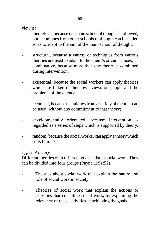view is:

- theoretical, because one main school of thought is followed. but techniques from other schools of thought can be added so as to adapt to the aim of the main school of thought;
- structural, because a variety of techniques from various theories are used to adapt to the client"s circumstances;
- combinative, because more than one theory is combined during intervention;
- existential, because the social workers can apply theories which are linked to their own views on people and the problems of the clients;
- technical, because techniques from a variety of theories can be used, without any commitment to that theory;
- developmentally orientated, because intervention is regarded as a series of steps which is supported by theory;
- random, because the social worker can apply a theory which suits him/her.

#### *Types of theory*

Different theories with different goals exist in social work. They can be divided into four groups (Payne 1991:52).

- Theories about social work that explain the nature and role of social work in society.
- Theories of social work that explain the actions or activities that constitute social work, by explaining the relevancy of these activities in achieving the goals.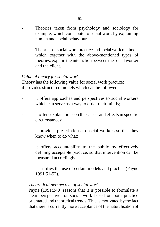- Theories taken from psychology and sociology for example, which contribute to social work by explaining human and social behaviour.
- Theories of social work practice and social work methods, which together with the above-mentioned types of theories, explain the interaction between the social worker and the client.

#### *Value of theory for social work*

Theory has the following value for social work practice: it provides structured models which can be followed;

- it offers approaches and perspectives to social workers which can serve as a way to order their minds;
- it offers explanations on the causes and effects in specific circumstances;
- it provides prescriptions to social workers so that they know when to do what;
- it offers accountability to the public by effectively defining acceptable practice, so that intervention can be measured accordingly;
	- it justifies the use of certain models and practice (Payne 1991:51-52).

#### *Theoretical perspective of social work*

Payne (1991:249) reasons that it is possible to formulate a clear perspective for social work based on both practice orientated and theoretical trends. This is motivated by the fact that there is currently more acceptance of the naturalisation of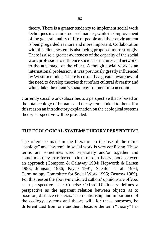theory. There is a greater tendency to implement social work techniques in a more focused manner, while the improvement of the general quality of life of people and their environment is being regarded as more and more important. Collaboration with the client system is also being proposed more strongly. There is also a greater awareness of the capacity of the social work profession to influence societal structures and networks to the advantage of the client. Although social work is an international profession, it was previously greatly influenced by Western models. There is currently a greater awareness of the need to develop theories that reflect cultural diversity and which take the client's social environment into account.

Currently social work subscribes to a perspective that is based on the total ecology of humans and the systems linked to them. For this reason an introductory explanation on the ecological systems theory perspective will be provided.

## **THE ECOLOGICAL SYSTEMS THEORY PERSPECTIVE**

The reference made in the literature to the use of the terms "ecology" and "system" in social work is very confusing. These terms are sometimes used separately and/or together and sometimes they are referred to in terms of a theory, model or even an approach (Compton & Galaway 1994; Hepworth & Larsen 1993; Johnson 1986; Payne 1991; Sheafor et al. 1994; Terminology Committee for Social Work 1995; Zastrow 1989). For this reason the above-mentioned authors" opinions are offered as a perspective. The Concise Oxford Dictionary defines a perspective as the apparent relation between objects as to position, distance etceteras. The relationship and importance of the ecology, systems and theory will, for these purposes, be differentiated from one another. Because the term "theory" has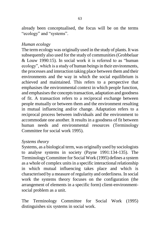already been conceptualised, the focus will be on the terms "ecology" and "systems".

### *Human ecology*

The term ecology was originally used in the study of plants. It was subsequently also used for the study of communities (Grobbelaar & Louw 1990:15). In social work it is referred to as "human ecology", which is a study of human beings in their environments, the processes and interaction taking place between them and their environments and the way in which the social equilibrium is achieved and maintained. This refers to a perspective that emphasises the environmental context in which people function, and emphasises the concepts transaction, adaptation and goodness of fit. A transaction refers to a reciprocal exchange between people mutually or between them and the environment resulting in mutual influencing and/or change. Adaptation refers to a reciprocal process between individuals and the environment to accommodate one another. It results in a goodness of fit between human needs and environmental resources (Terminology Committee for social work 1995).

#### *Systems theory*

Systems, as a biological term, was originally used by sociologists to analyse systems in society (Payne 1991:134-135). The Terminology Committee for Social Work (1995) defines a system as a whole of complex units in a specific interactional relationship in which mutual influencing takes place and which is characterised by a measure of regularity and orderliness. In social work the systems theory focuses on the configuration (the arrangement of elements in a specific form) client-environmentsocial problem as a unit.

The Terminology Committee for Social Work (1995) distinguishes six systems in social work.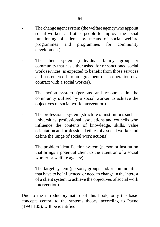- The change agent system (the welfare agency who appoint social workers and other people to improve the social functioning of clients by means of social welfare programmes and programmes for community development).
- The client system (individual, family, group or community that has either asked for or sanctioned social work services, is expected to benefit from those services and has entered into an agreement of co-operation or a contract with a social worker).
- The action system (persons and resources in the community utilised by a social worker to achieve the objectives of social work intervention).
- The professional system (structure of institutions such as universities, professional associations and councils who influence the contents of knowledge, skills, value orientation and professional ethics of a social worker and define the range of social work actions).
- The problem identification system (person or institution that brings a potential client to the attention of a social worker or welfare agency).
- The target system (persons, groups and/or communities that have to be influenced or need to change in the interest of a client system to achieve the objectives of social work intervention).

Due to the introductory nature of this book, only the basic concepts central to the systems theory, according to Payne (1991:135), will be identified.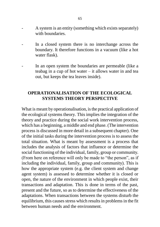- A system is an entity (something which exists separately) with boundaries.
- In a closed system there is no interchange across the boundary. It therefore functions in a vacuum (like a hot water flask).
- In an open system the boundaries are permeable (like a teabag in a cup of hot water – it allows water in and tea out, but keeps the tea leaves inside).

## **OPERATIONALISATION OF THE ECOLOGICAL SYSTEMS THEORY PERSPECTIVE**

What is meant by operationalisation, is the practical application of the ecological systems theory. This implies the integration of the theory and practice during the social work intervention process, which has a beginning, a middle and end phase. (The intervention process is discussed in more detail in a subsequent chapter). One of the initial tasks during the intervention process is to assess the total situation. What is meant by assessment is a process that includes the analysis of factors that influence or determine the social functioning of the individual, family, group or community. (From here on reference will only be made to "the person", as if including the individual, family, group and community). This is how the appropriate system (e.g. the client system and change agent system) is assessed to determine whether it is closed or open, the nature of the environment in which people exist, their transactions and adaptation. This is done in terms of the past, present and the future, so as to determine the effectiveness of the adaptations. When transactions between the systems disturb the equilibrium, this causes stress which results in problems in the fit between human needs and the environment.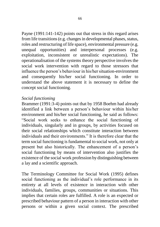Payne (1991:141-142) points out that stress in this regard arises from life transitions (e.g. changes in developmental phases, status, roles and restructuring of life space), environmental pressure (e.g. unequal opportunities) and interpersonal processes (e.g. exploitation, inconsistent or unrealistic expectations). The operationalisation of the systems theory perspective involves the social work intervention with regard to those stressors that influence the person"s behaviour in his/her situation-environment and consequently his/her social functioning. In order to understand the above statement it is necessary to define the concept social functioning.

### *Social functioning*

Brammer (1991:3-4) points out that by 1958 Boehm had already identified a link between a person's behaviour within his/her environment and his/her social functioning, he said as follows: "Social work seeks to enhance the social functioning of individuals, singularly and in groups, by activities focused on their social relationships which constitute interaction between individuals and their environments." It is therefore clear that the term social functioning is fundamental to social work, not only at present but also historically. The enhancement of a person"s social functioning by means of intervention also justifies the existence of the social work profession by distinguishing between a lay and a scientific approach.

The Terminology Committee for Social Work (1995) defines social functioning as the individual's role performance in its entirety at all levels of existence in interaction with other individuals, families, groups, communities or situations. This implies that certain roles are fulfilled. A role is an expected or prescribed behaviour pattern of a person in interaction with other persons or within a given social context. The prescribed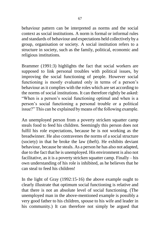behaviour pattern can be interpreted as norms and the social context as social institutions. A norm is formal or informal rules and standards of behaviour and expectations held collectively by a group, organisation or society. A social institution refers to a structure in society, such as the family, political, economic and religious institutions.

Brammer (1991:3) highlights the fact that social workers are supposed to link personal troubles with political issues, by improving the social functioning of people. However social functioning is mostly evaluated only in terms of a person's behaviour as it complies with the roles which are set according to the norms of social institutions. It can therefore rightly be asked: "When is a person"s social functioning optimal and when is a person"s social functioning a personal trouble or a political issue?" This can be explained by means of the following example.

An unemployed person from a poverty stricken squatter camp steals food to feed his children. Seemingly this person does not fulfil his role expectations, because he is not working as the breadwinner. He also contravenes the norms of a social structure (society) in that he broke the law (theft). He exhibits deviant behaviour, because he steals. As a person he has also not adapted, due to the fact that he is unemployed. His environment is also not facilitative, as it is a poverty stricken squatter camp. Finally – his own understanding of his role is inhibited, as he believes that he can steal to feed his children!

In the light of Gray (1992:15-16) the above example ought to clearly illustrate that optimum social functioning is relative and that there is not an absolute level of social functioning. (The unemployed man in the above-mentioned example is possibly a very good father to his children, spouse to his wife and leader in his community.) It can therefore not simply be argued that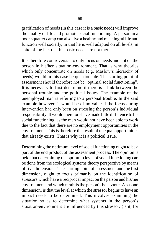gratification of needs (in this case it is a basic need) will improve the quality of life and promote social functioning. A person in a poor squatter camp can also live a healthy and meaningful life and function well socially, in that he is well adapted on all levels, in spite of the fact that his basic needs are not met.

It is therefore controversial to only focus on needs and not on the person in his/her situation-environment. That is why theories which only concentrate on needs (e.g. Maslow"s hierarchy of needs) would in this case be questionable. The starting point of assessment should therefore not be "optimal social functioning". It is necessary to first determine if there is a link between the personal trouble and the political issues. The example of the unemployed man is referring to a personal trouble. In the said example however, it would be of no value if the focus during intervention had only been on stressing the person's individual responsibility. It would therefore have made little difference to his social functioning, as the man would not have been able to work due to the fact that there are no employment opportunities in the environment. This is therefore the result of unequal opportunities that already exists. That is why it is a political issue.

Determining the optimum level of social functioning ought to be a part of the end product of the assessment process. The opinion is held that determining the optimum level of social functioning can be done from the ecological systems theory perspective by means of five dimensions. The starting point of assessment and the first dimension, ought to focus primarily on the identification of stressors which have a reciprocal impact on the person and his/her environment and which inhibits the person"s behaviour. A second dimension, is that the level at which the stressor begins to have an impact needs to be determined. This involves examining the situation so as to determine what systems in the person's situation-environment are influenced by this stressor. (Is it, for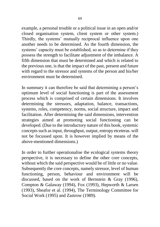example, a personal trouble or a political issue in an open and/or closed organisation system, client system or other system.) Thirdly, the systems' mutually reciprocal influence upon one another needs to be determined. As the fourth dimension, the systems' capacity must be established, so as to determine if they possess the strength to facilitate adjustment of the imbalance. A fifth dimension that must be determined and which is related to the previous one, is that the impact of the past, present and future with regard to the stressor and systems of the person and his/her environment must be determined.

In summary it can therefore be said that determining a person"s optimum level of social functioning is part of the assessment process which is comprised of certain dimensions. It involves determining the stressors, adaptation, balance, transactions, systems, roles, competency, norms, social structure, impact and facilitation. After determining the said dimensions, intervention strategies aimed at promoting social functioning can be developed. (Due to the introductory nature of this book, systemic concepts such as input, throughput, output, entropy etceteras. will not be focussed upon. It is however implied by means of the above-mentioned dimensions.)

In order to further operationalise the ecological systems theory perspective, it is necessary to define the other core concepts, without which the said perspective would be of little or no value. Subsequently the core concepts, namely stressor, level of human functioning, person, behaviour and environment will be discussed, based on the work of Bernstein & Gray (1996), Compton & Galaway (1994), Fox (1993), Hepworth & Larsen (1993), Sheafor et al. (1994), The Terminology Committee for Social Work (1995) and Zastrow (1989).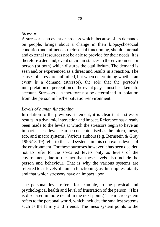#### *Stressor*

A stressor is an event or process which, because of its demands on people, brings about a change in their biopsychosocial condition and influences their social functioning, should internal and external resources not be able to provide for their needs. It is therefore a demand, event or circumstances in the environment or person (or both) which disturbs the equilibrium. The demand is seen and/or experienced as a threat and results in a reaction. The causes of stress are unlimited, but when determining whether an event is a demand (stressor), the role that the person"s interpretation or perception of the event plays, must be taken into account. Stressors can therefore not be determined in isolation from the person in his/her situation-environment.

#### *Levels of human functioning*

In relation to the previous statement, it is clear that a stressor results in a dynamic interaction and impact. Reference has already been made to the levels at which the stressors begin to have an impact. These levels can be conceptualised as the micro, meso, eco, and macro systems. Various authors (e.g. Bernstein & Gray 1996:18-19) refer to the said systems in this context as levels of the environment. For these purposes however it has been decided not to refer to the so-called levels only as levels of the environment, due to the fact that these levels also include the person and behaviour. That is why the various systems are referred to as levels of human functioning, as this implies totality and that which stressors have an impact upon.

The personal level refers, for example, to the physical and psychological health and level of frustration of the person. (This is discussed in more detail in the next point.) The micro system refers to the personal world, which includes the smallest systems such as the family and friends. The meso system points to the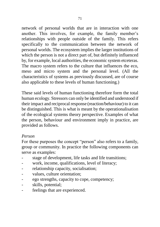network of personal worlds that are in interaction with one another. This involves, for example, the family member's relationships with people outside of the family. This refers specifically to the communication between the network of personal worlds. The ecosystem implies the larger institutions of which the person is not a direct part of, but definitely influenced by, for example, local authorities, the economic system etceteras. The macro system refers to the culture that influences the eco, meso and micro system and the personal level. (All the characteristics of systems as previously discussed, are of course also applicable to these levels of human functioning.)

These said levels of human functioning therefore form the total human ecology. Stressors can only be identified and understood if their impact and reciprocal response (reaction/behaviour) to it can be distinguished. This is what is meant by the operationalisation of the ecological systems theory perspective. Examples of what the person, behaviour and environment imply in practice, are provided as follows.

## *Person*

For these purposes the concept "person" also refers to a family, group or community. In practice the following components can serve as examples:

- stage of development, life tasks and life transitions;
- work, income, qualifications, level of literacy;
- relationship capacity, socialisation;
- values, culture orientation;
- ego strengths, capacity to cope, competency;
- skills, potential;
- feelings that are experienced.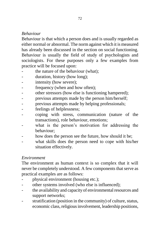## *Behaviour*

Behaviour is that which a person does and is usually regarded as either normal or abnormal. The norm against which it is measured has already been discussed in the section on social functioning. Behaviour is usually the field of study of psychologists and sociologists. For these purposes only a few examples from practice will be focused upon:

- the nature of the behaviour (what);
- duration, history (how long);
- intensity (how severe);
- frequency (when and how often):
- other stressors (how else is functioning hampered);
- previous attempts made by the person him/herself;
- previous attempts made by helping professionals;
- feelings of helplessness;
- coping with stress, communication (nature of the transactions), role behaviour, emotions;
- what is the person's motivation for addressing the behaviour;
- how does the person see the future, how should it be;
- what skills does the person need to cope with his/her situation effectively.

#### *Environment*

The environment as human context is so complex that it will never be completely understood. A few components that serve as practical examples are as follows:

- physical environment (housing etc.);
- other systems involved (who else is influenced);
- the availability and capacity of environmental resources and support networks;
- stratification (position in the community) of culture, status, economic class, religious involvement, leadership positions,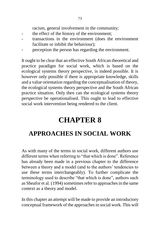racism, general involvement in the community;

- the effect of the history of the environment:
- transactions in the environment (does the environment facilitate or inhibit the behaviour);
- perception the person has regarding the environment.

It ought to be clear that an effective South African theoretical and practice paradigm for social work, which is based on the ecological systems theory perspective, is indeed possible. It is however only possible if there is appropriate knowledge, skills and a value orientation regarding the conceptualisation of theory, the ecological systems theory perspective and the South African practice situation. Only then can the ecological systems theory perspective be operationalised. This ought to lead to effective social work intervention being rendered to the client.

# **CHAPTER 8**

## **APPROACHES IN SOCIAL WORK**

As with many of the terms in social work, different authors use different terms when referring to "that which is done". Reference has already been made in a previous chapter to the difference between a theory and a model (and to the authors' tendencies to use these terms interchangeably). To further complicate the terminology used to describe "that which is done", authors such as Sheafor et al. (1994) sometimes refer to approaches in the same context as a theory and model.

In this chapter an attempt will be made to provide an introductory conceptual framework of the approaches in social work. This will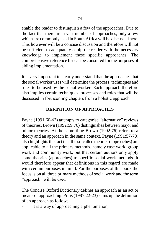enable the reader to distinguish a few of the approaches. Due to the fact that there are a vast number of approaches, only a few which are commonly used in South Africa will be discussed here. This however will be a concise discussion and therefore will not be sufficient to adequately equip the reader with the necessary knowledge to implement these specific approaches. The comprehensive reference list can be consulted for the purposes of aiding implementation.

It is very important to clearly understand that the approaches that the social worker uses will determine the process, techniques and roles to be used by the social worker. Each approach therefore also implies certain techniques, processes and roles that will be discussed in forthcoming chapters from a holistic approach.

## **DEFINITION OF APPROACHES**

Payne (1991:60-62) attempts to categorise "alternative" reviews of theories. Brown (1992:59,76) distinguishes between major and minor theories. At the same time Brown (1992:76) refers to a theory and an approach in the same context. Payne (1991:57-70) also highlights the fact that the so-called theories (approaches) are applicable to all the primary methods, namely case work, group work and community work, but that certain authors only apply some theories (approaches) to specific social work methods. It would therefore appear that definitions in this regard are made with certain purposes in mind. For the purposes of this book the focus is on all three primary methods of social work and the term "approach" will be used.

The Concise Oxford Dictionary defines an approach as an act or means of approaching. Pruis (1987:22-23) sums up the definition of an approach as follows:

it is a way of approaching a phenomenon;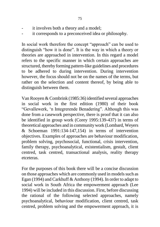- it involves both a theory and a model;
- it corresponds to a preconceived idea or philosophy.

In social work therefore the concept "approach" can be used to distinguish "how it is done". It is the way in which a theory or theories are approached in intervention. In this regard a model refers to the specific manner in which certain approaches are structured, thereby forming pattern-like guidelines and procedures to be adhered to during intervention. During intervention however, the focus should not be on the names of the terms, but rather on the selection and content thereof, by being able to distinguish between them.

Van Rooyen & Combrink (1985:36) identified several approaches in social work in the first edition (1980) of their book "Gevallewerk, "n Integrerende Benadering". Although this was done from a casework perspective, there is proof that it can also be identified in group work (Corey 1995:139-437) in terms of theoretical approaches and in community work (Lombard, Weyers & Schoeman 1991:134-147,154) in terms of intervention objectives. Examples of approaches are behaviour modification, problem solving, psychosocial, functional, crisis intervention, family therapy, psychoanalytical, existentialism, gestalt, client centred, task centred, transactional analysis, reality therapy etceteras.

For the purposes of this book there will be a concise discussion on those approaches which are commonly used in models such as Egan (1994) and Carkhuff & Anthony (1994). In order to adapt to social work in South Africa the empowerment approach (Lee 1994) will be included in this discussion. First, before discussing the rational of the following selected approaches, namely psychoanalytical, behaviour modification, client centred, task centred, problem solving and the empowerment approach, it is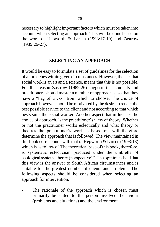necessary to highlight important factors which must be taken into account when selecting an approach. This will be done based on the work of Hepworth & Larsen (1993:17-19) and Zastrow (1989:26-27).

#### **SELECTING AN APPROACH**

It would be easy to formulate a set of guidelines for the selection of approaches within given circumstances. However, the fact that social work is an art and a science, means that this is not possible. For this reason Zastrow (1989:26) suggests that students and practitioners should master a number of approaches, so that they have a "bag of tricks" from which to choose. The choice of approach however should be motivated by the desire to render the best possible service to the client and not according to that which bests suits the social worker. Another aspect that influences the choice of approach, is the practitioner"s view of theory. Whether or not the practitioner works eclectically and what theory or theories the practitioner"s work is based on, will therefore determine the approach that is followed. The view maintained in this book corresponds with that of Hepworth & Larsen (1993:18) which is as follows: "The theoretical base of this book, therefore, is systematic eclecticism practiced under the umbrella of ecological systems theory (perspective)". The opinion is held that this view is the answer to South African circumstances and is suitable for the greatest number of clients and problems. The following aspects should be considered when selecting an approach for intervention.

The rationale of the approach which is chosen must primarily be suited to the person involved, behaviour (problems and situations) and the environment.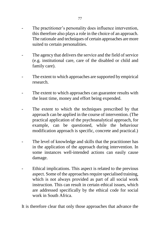- The practitioner's personality does influence intervention, this therefore also plays a role in the choice of an approach. The rationale and techniques of certain approaches are more suited to certain personalities.
- The agency that delivers the service and the field of service (e.g. institutional care, care of the disabled or child and family care).
- The extent to which approaches are supported by empirical research.
- The extent to which approaches can guarantee results with the least time, money and effort being expended.
- The extent to which the techniques prescribed by that approach can be applied in the course of intervention. (The practical application of the psychoanalytical approach, for example, can be questioned, while the behaviour modification approach is specific, concrete and practical.)
- The level of knowledge and skills that the practitioner has in the application of the approach during intervention. In some instances well-intended actions can easily cause damage.
- Ethical implications. This aspect is related to the previous aspect. Some of the approaches require specialised training, which is not always provided as part of all social work instruction. This can result in certain ethical issues, which are addressed specifically by the ethical code for social work in South Africa.

It is therefore clear that only those approaches that advance the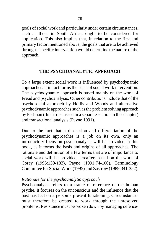goals of social work and particularly under certain circumstances, such as those in South Africa, ought to be considered for application. This also implies that, in relation to the first and primary factor mentioned above, the goals that are to be achieved through a specific intervention would determine the nature of the approach.

## **THE PSYCHOANALYTIC APPROACH**

To a large extent social work is influenced by psychodynamic approaches. It in fact forms the basis of social work intervention. The psychodynamic approach is based mainly on the work of Freud and psychoanalysis. Other contributions include that of the psychosocial approach by Hollis and Woods and alternative psychodynamic approaches such as the problem solving approach by Perlman (this is discussed in a separate section in this chapter) and transactional analysis (Payne 1991).

Due to the fact that a discussion and differentiation of the psychodynamic approaches is a job on its own, only an introductory focus on psychoanalysis will be provided in this book, as it forms the basis and origins of all approaches. The rationale and definition of a few terms that are of importance to social work will be provided hereafter, based on the work of Corey (1995:139-183), Payne (1991:74-100), Terminology Committee for Social Work (1995) and Zastrow (1989:341-352).

## *Rationale for the psychoanalytic approach*

Psychoanalysis refers to a frame of reference of the human psyche. It focuses on the unconscious and the influence that the past has had on a person"s present functioning. Circumstances must therefore be created to work through the unresolved problems. Resistance must be broken down by managing defence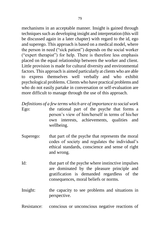mechanisms in an acceptable manner. Insight is gained through techniques such as developing insight and interpretation (this will be discussed again in a later chapter) with regard to the id, ego and superego. This approach is based on a medical model, where the person in need ("sick patient") depends on the social worker ("expert therapist") for help. There is therefore less emphasis placed on the equal relationship between the worker and client. Little provision is made for cultural diversity and environmental factors. This approach is aimed particularly at clients who are able to express themselves well verbally and who exhibit psychological problems. Clients who have practical problems and who do not easily partake in conversation or self-evaluation are more difficult to manage through the use of this approach.

*Definitions of a few terms which are of importance to social work*

- Ego: the rational part of the psyche that forms a person"s view of him/herself in terms of his/her own interests, achievements, qualities and wellbeing.
- Superego: that part of the psyche that represents the moral codes of society and regulates the individual"s ethical standards, conscience and sense of right and wrong.
- Id: that part of the psyche where instinctive impulses are dominated by the pleasure principle and gratification is demanded regardless of the consequences, moral beliefs or norms.
- Insight: the capacity to see problems and situations in perspective.

Resistance: conscious or unconscious negative reactions of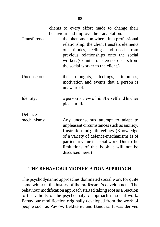|               | clients to every effort made to change their<br>behaviour and improve their adaptation.                                                                                                                                                                     |
|---------------|-------------------------------------------------------------------------------------------------------------------------------------------------------------------------------------------------------------------------------------------------------------|
| Transference: | the phenomenon where, in a professional<br>relationship, the client transfers elements<br>of attitudes, feelings and needs from<br>previous relationships onto the social<br>worker. (Counter transference occurs from<br>the social worker to the client.) |
| Unconscious:  | thoughts, feelings, impulses,<br>the<br>motivation and events that a person is<br>unaware of.                                                                                                                                                               |
| Identity:     | a person's view of him/herself and his/her<br>place in life.                                                                                                                                                                                                |
| Defence-      |                                                                                                                                                                                                                                                             |
| mechanisms:   | Any unconscious attempt to adapt to<br>unpleasant circumstances such as anxiety,<br>frustration and guilt feelings. (Knowledge<br>of a variety of defence-mechanisms is of                                                                                  |

## **THE BEHAVIOUR MODIFICATION APPROACH**

discussed here.)

particular value in social work. Due to the limitations of this book it will not be

The psychodynamic approaches dominated social work for quite some while in the history of the profession's development. The behaviour modification approach started taking root as a reaction to the validity of the psychoanalytic approach in social work. Behaviour modification originally developed from the work of people such as Pavlov, Bekhterev and Bandura. It was derived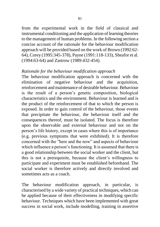from the experimental work in the field of classical and instrumental conditioning and the application of learning theories to the management of human problems. In the following section a concise account of the rationale for the behaviour modification approach will be provided based on the work of Brown (1992:62- 64), Corey (1995:345-378), Payne (1991:118-133), Sheafor et al. (1994:63-64) and Zastrow (1989:432-454).

#### *Rationale for the behaviour modification approach*

The behaviour modification approach is concerned with the elimination of negative behaviour and the acquisition, reinforcement and maintenance of desirable behaviour. Behaviour is the result of a person"s genetic composition, biological characteristics and the environment. Behaviour is learned and is the product of the reinforcement of that to which the person is exposed. In order to gain control of the behaviour, those events that precipitate the behaviour, the behaviour itself and the consequences thereof, must be isolated. The focus is therefore upon the observable and external behaviour and not on the person"s life history, except in cases where this is of importance (e.g. previous symptoms that were exhibited). It is therefore concerned with the "here and the now" and aspects of behaviour which influence a person's functioning. It is assumed that there is a good relationship between the social worker and the client, but this is not a prerequisite, because the client"s willingness to participate and experiment must be established beforehand. The social worker is therefore actively and directly involved and sometimes acts as a coach.

The behaviour modification approach, in particular, is characterised by a wide variety of practical techniques, which can be applied because of their effectiveness in modifying specific behaviour. Techniques which have been implemented with great success in social work, include modelling, training in assertive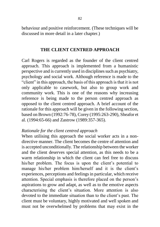behaviour and positive reinforcement. (These techniques will be discussed in more detail in a later chapter.)

#### **THE CLIENT CENTRED APPROACH**

Carl Rogers is regarded as the founder of the client centred approach. This approach is implemented from a humanistic perspective and is currently used in disciplines such as psychiatry, psychology and social work. Although reference is made to the "client" in this approach, the basis of this approach is that it is not only applicable to casework, but also to group work and community work. This is one of the reasons why increasing reference is being made to the person centred approach as opposed to the client centred approach. A brief account of the rationale for this approach will be given in the following section, based on Brown (1992:76-78), Corey (1995:263-290), Sheafor et al. (1994:65-66) and Zastrow (1989:357-365).

#### *Rationale for the client centred approach*

When utilising this approach the social worker acts in a nondirective manner. The client becomes the centre of attention and is accepted unconditionally. The relationship between the worker and the client deserves special attention, as this needs to be a warm relationship in which the client can feel free to discuss his/her problem. The focus is upon the client's potential to manage his/her problem him/herself and it is the client's experiences, perceptions and feelings in particular, which receive attention. Special emphasis is therefore placed on the person"s aspirations to grow and adapt, as well as to the emotive aspects characterising the client"s situation. More attention is also devoted to the immediate situation than to the client's past. The client must be voluntary, highly motivated and well spoken and must not be overwhelmed by problems that may exist in the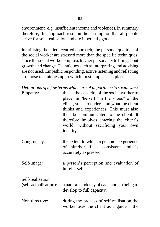environment (e.g. insufficient income and violence). In summary therefore, this approach rests on the assumption that all people strive for self-realisation and are inherently good.

In utilising the client centred approach, the personal qualities of the social worker are stressed more than the specific techniques, since the social worker employs his/her personality to bring about growth and change. Techniques such as interpreting and advising are not used. Empathic responding, active listening and reflecting are those techniques upon which most emphasis is placed.

|                                           | Definitions of a few terms which are of importance to social work                                                                                                                                                                                                                                                          |
|-------------------------------------------|----------------------------------------------------------------------------------------------------------------------------------------------------------------------------------------------------------------------------------------------------------------------------------------------------------------------------|
| Empathy:                                  | this is the capacity of the social worker to<br>place him/herself "in the shoes" of the<br>client, so as to understand what the client<br>thinks and experiences. This must also<br>then be communicated to the client. It<br>therefore involves entering the client's<br>world, without sacrificing your own<br>identity. |
| Congruency:                               | the extent to which a person's experience<br>of him/herself is consistent and is<br>accurately expressed.                                                                                                                                                                                                                  |
| Self-image:                               | a person's perception and evaluation of<br>him/herself.                                                                                                                                                                                                                                                                    |
| Self-realisation<br>(self-actualisation): | a natural tendency of each human being to<br>develop to full capacity.                                                                                                                                                                                                                                                     |
| Non-directive:                            | during the process of self-realisation the<br>worker uses the client as a guide $-$ the                                                                                                                                                                                                                                    |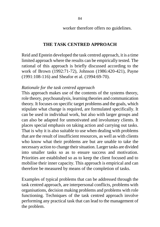worker therefore offers no guidelines.

#### **THE TASK CENTRED APPROACH**

Reid and Epstein developed the task centred approach, it is a time limited approach where the results can be empirically tested. The rational of this approach is briefly discussed according to the work of Brown (1992:71-72), Johnson (1986:420-421), Payne (1991:108-116) and Sheafor et al. (1994:69-70).

#### *Rationale for the task centred approach*

This approach makes use of the contents of the systems theory, role theory, psychoanalysis, learning theories and communication theory. It focuses on specific target problems and the goals, which stipulate what change is required, are formulated specifically. It can be used in individual work, but also with larger groups and can also be adapted for unmotivated and involuntary clients. It places special emphasis on taking action and carrying out tasks. That is why it is also suitable to use when dealing with problems that are the result of insufficient resources, as well as with clients who know what their problems are but are unable to take the necessary action to change their situation. Larger tasks are divided into smaller tasks so as to ensure success and motivation. Priorities are established so as to keep the client focused and to mobilise their inner capacity. This approach is empirical and can therefore be measured by means of the completion of tasks.

Examples of typical problems that can be addressed through the task centred approach, are interpersonal conflicts, problems with organisations, decision making problems and problems with role functioning. Techniques of the task centred approach involve performing any practical task that can lead to the management of the problem.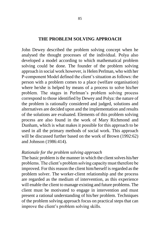#### **THE PROBLEM SOLVING APPROACH**

John Dewey described the problem solving concept when he analysed the thought processes of the individual. Polya also developed a model according to which mathematical problem solving could be done. The founder of the problem solving approach in social work however, is Helen Perlman, who with her P-component Model defined the client"s situation as follows: the person with a problem comes to a place (welfare organisation) where he/she is helped by means of a process to solve his/her problem. The stages in Perlman"s problem solving process correspond to those identified by Dewey and Polya: the nature of the problem is rationally considered and judged, solutions and alternatives are decided upon and the implementation and results of the solutions are evaluated. Elements of this problem solving process are also found in the work of Mary Richmond and Dunham, which is what makes it possible for this approach to be used in all the primary methods of social work. This approach will be discussed further based on the work of Brown (1992:62) and Johnson (1986:414).

## *Rationale for the problem solving approach*

The basic problem is the manner in which the client solves his/her problems. The client"s problem solving capacity must therefore be improved. For this reason the client him/herself is regarded as the problem solver. The worker-client relationship and the process are regarded as the medium of intervention, as this experience will enable the client to manage existing and future problems. The client must be motivated to engage in intervention and must present a rational understanding of his/her problem. Techniques of the problem solving approach focus on practical steps that can improve the client"s problem solving skills.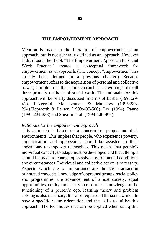#### **THE EMPOWERMENT APPROACH**

Mention is made in the literature of empowerment as an approach, but is not generally defined as an approach. However Judith Lee in her book "The Empowerment Approach to Social Work Practice" created a conceptual framework for empowerment as an approach. (The concept "empowerment" has already been defined in a previous chapter.) Because empowerment refers to the acquisition of personal and collective power, it implies that this approach can be used with regard to all three primary methods of social work. The rationale for this approach will be briefly discussed in terms of Barber (1991:29- 41), Fitzgerald, Mc Lennan & Munslow (1995:288- 294),Hepworth & Larsen (1993:495-500), Lee (1994), Payne (1991:224-233) and Sheafor et al. (1994:406-408).

#### *Rationale for the empowerment approach*

This approach is based on a concern for people and their environments. This implies that people, who experience poverty, stigmatisation and oppression, should be assisted in their endeavours to empower themselves. This means that people"s individual capacity to adapt must be developed and that attempts should be made to change oppressive environmental conditions and circumstances. Individual and collective action is necessary. Aspects which are of importance are, holistic transaction orientated concepts, knowledge of oppressed groups, social policy and programmes, the advancement of a just society, equal opportunities, equity and access to resources. Knowledge of the functioning of a person's ego, learning theory and problem solving is also necessary. It is also required of the social worker to have a specific value orientation and the skills to utilise this approach. The techniques that can be applied when using this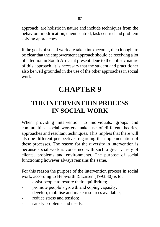approach, are holistic in nature and include techniques from the behaviour modification, client centred, task centred and problem solving approaches.

If the goals of social work are taken into account, then it ought to be clear that the empowerment approach should be receiving a lot of attention in South Africa at present. Due to the holistic nature of this approach, it is necessary that the student and practitioner also be well grounded in the use of the other approaches in social work.

## **CHAPTER 9**

## **THE INTERVENTION PROCESS IN SOCIAL WORK**

When providing intervention to individuals, groups and communities, social workers make use of different theories, approaches and resultant techniques. This implies that there will also be different perspectives regarding the implementation of these processes. The reason for the diversity in intervention is because social work is concerned with such a great variety of clients, problems and environments. The purpose of social functioning however always remains the same.

For this reason the purpose of the intervention process in social work, according to Hepworth & Larsen (1993:30) is to:

- assist people to restore their equilibrium;
- promote people's growth and coping capacity;
- develop, mobilise and make resources available;
- reduce stress and tension:
- satisfy problems and needs.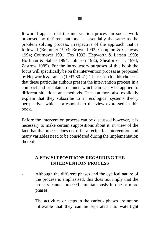It would appear that the intervention process in social work proposed by different authors, is essentially the same as the problem solving process, irrespective of the approach that is followed (Brammer 1993; Brown 1992; Compton & Galaway 1994; Cournoyer 1991; Fox 1993; Hepworth & Larsen 1993; Hoffman & Sallee 1994; Johnson 1986; Sheafor et al. 1994; Zastrow 1989). For the introductory purposes of this book the focus will specifically be on the intervention process as proposed by Hepworth & Larsen (1993:30-41). The reason for this choice is that these particular authors present the intervention process in a compact and orientated manner, which can easily be applied to different situations and methods. These authors also explicitly explain that they subscribe to an ecological systems theory perspective, which corresponds to the view expressed in this book.

Before the intervention process can be discussed however, it is necessary to make certain suppositions about it, in view of the fact that the process does not offer a recipe for intervention and many variables need to be considered during the implementation thereof.

## **A FEW SUPPOSITIONS REGARDING THE INTERVENTION PROCESS**

- Although the different phases and the cyclical nature of the process is emphasised, this does not imply that the process cannot proceed simultaneously in one or more phases.
- The activities or steps in the various phases are not so inflexible that they can be separated into watertight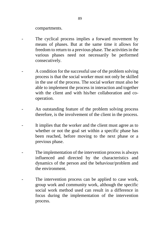compartments.

- The cyclical process implies a forward movement by means of phases. But at the same time it allows for freedom to return to a previous phase. The activities in the various phases need not necessarily be performed consecutively.
- A condition for the successful use of the problem solving process is that the social worker must not only be skilled in the use of the process. The social worker must also be able to implement the process in interaction and together with the client and with his/her collaboration and cooperation.
- An outstanding feature of the problem solving process therefore, is the involvement of the client in the process.
- It implies that the worker and the client must agree as to whether or not the goal set within a specific phase has been reached, before moving to the next phase or a previous phase.
- The implementation of the intervention process is always influenced and directed by the characteristics and dynamics of the person and the behaviour/problem and the environment.
- The intervention process can be applied to case work, group work and community work, although the specific social work method used can result in a difference in focus during the implementation of the intervention process.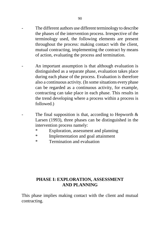- The different authors use different terminology to describe the phases of the intervention process. Irrespective of the terminology used, the following elements are present throughout the process: making contact with the client, mutual contracting, implementing the contract by means of action, evaluating the process and termination.
- An important assumption is that although evaluation is distinguished as a separate phase, evaluation takes place during each phase of the process. Evaluation is therefore also a continuous activity. (In some situations every phase can be regarded as a continuous activity, for example, contracting can take place in each phase. This results in the trend developing where a process within a process is followed.)
	- The final supposition is that, according to Hepworth  $\&$ Larsen (1993), three phases can be distinguished in the intervention process namely:
		- Exploration, assessment and planning
		- \* Implementation and goal attainment
		- \* Termination and evaluation

## **PHASE I: EXPLORATION, ASSESSMENT AND PLANNING**

This phase implies making contact with the client and mutual contracting.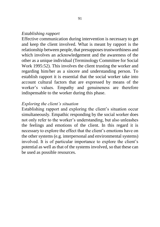#### *Establishing rapport*

Effective communication during intervention is necessary to get and keep the client involved. What is meant by rapport is the relationship between people, that presupposes trustworthiness and which involves an acknowledgement and the awareness of the other as a unique individual (Terminology Committee for Social Work 1995:52). This involves the client trusting the worker and regarding him/her as a sincere and understanding person. To establish rapport it is essential that the social worker take into account cultural factors that are expressed by means of the worker"s values. Empathy and genuineness are therefore indispensable to the worker during this phase.

#### *Exploring the client's situation*

Establishing rapport and exploring the client's situation occur simultaneously. Empathic responding by the social worker does not only refer to the worker"s understanding, but also unleashes the feelings and emotions of the client. In this regard it is necessary to explore the effect that the client's emotions have on the other systems (e.g. interpersonal and environmental systems) involved. It is of particular importance to explore the client's potential as well as that of the systems involved, so that these can be used as possible resources.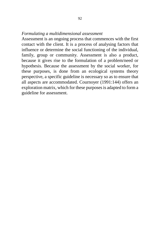#### *Formulating a multidimensional assessment*

Assessment is an ongoing process that commences with the first contact with the client. It is a process of analysing factors that influence or determine the social functioning of the individual, family, group or community. Assessment is also a product, because it gives rise to the formulation of a problem/need or hypothesis. Because the assessment by the social worker, for these purposes, is done from an ecological systems theory perspective, a specific guideline is necessary so as to ensure that all aspects are accommodated. Cournoyer (1991:144) offers an exploration matrix, which for these purposes is adapted to form a guideline for assessment.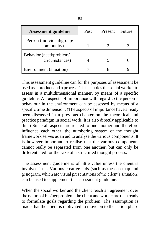| <b>Assessment guideline</b>               | Past | Present | Future |
|-------------------------------------------|------|---------|--------|
| Person (individual/group/<br>community)   |      |         |        |
| Behavior (need/problem/<br>circumstances) |      |         |        |
| Environment (situation)                   |      |         |        |

This assessment guideline can for the purposes of assessment be used as a product and a process. This enables the social worker to assess in a multidimensional manner, by means of a specific guideline. All aspects of importance with regard to the person"s behaviour in the environment can be assessed by means of a specific time dimension. (The aspects of importance have already been discussed in a previous chapter on the theoretical and practice paradigm in social work. It is also directly applicable to this.) Since all aspects are related to one another and therefore influence each other, the numbering system of the thought framework serves as an aid to analyse the various components. It is however important to realise that the various components cannot really be separated from one another, but can only be differentiated for the sake of a structured thought process.

The assessment guideline is of little value unless the client is involved in it. Various creative aids (such as the eco map and genogram, which are visual presentations of the client"s situation) can be used to supplement the assessment guideline.

When the social worker and the client reach an agreement over the nature of his/her problem, the client and worker are then ready to formulate goals regarding the problem. The assumption is made that the client is motivated to move on to the action phase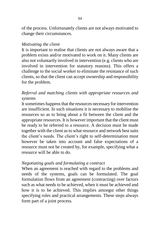of the process. Unfortunately clients are not always motivated to change their circumstances.

#### *Motivating the client*

It is important to realise that clients are not always aware that a problem exists and/or motivated to work on it. Many clients are also not voluntarily involved in intervention (e.g. clients who are involved in intervention for statutory reasons). This offers a challenge to the social worker to eliminate the resistance of such clients, so that the client can accept ownership and responsibility for the problem.

## *Referral and matching clients with appropriate resources and systems*

It sometimes happens that the resources necessary for intervention are insufficient. In such situations it is necessary to mobilise the resources so as to bring about a fit between the client and the appropriate resources. It is however important that the client must be ready to be referred to a resource. A decision must be made together with the client as to what resource and network best suits the client"s needs. The client"s right to self-determination must however be taken into account and false expectations of a resource must not be created by, for example, specifying what a resource will be able to do.

#### *Negotiating goals and formulating a contract*

When an agreement is reached with regard to the problems and needs of the systems, goals can be formulated. The goal formulation flows from an agreement (contracting) over factors such as what needs to be achieved, when it must be achieved and how it is to be achieved. This implies amongst other things specifying roles and practical arrangements. These steps always form part of a joint process.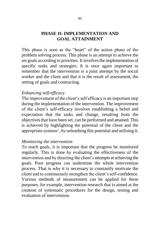### **PHASE II: IMPLEMENTATION AND GOAL ATTAINMENT**

This phase is seen as the "heart" of the action phase of the problem solving process. This phase is an attempt to achieve the set goals according to priorities. It involves the implementation of specific tasks and strategies. It is once again important to remember that the intervention is a joint attempt by the social worker and the client and that it is the result of assessment, the setting of goals and contracting.

### *Enhancing self-efficacy*

The improvement of the client's self efficacy is an important step during the implementation of the intervention. The improvement of the client"s self-efficacy involves establishing a belief and expectation that the tasks and change, resulting from the objectives that have been set, can be performed and attained. This is achieved by highlighting the potential of the client and the appropriate systems", by unleashing this potential and utilising it.

### *Monitoring the intervention*

To reach goals, it is important that the progress be monitored regularly. This is done by evaluating the effectiveness of the intervention and by directing the client's attempts at achieving the goals. Poor progress can undermine the whole intervention process. That is why it is necessary to constantly motivate the client and to continuously strengthen the client"s self-confidence. Various methods of measurement can be applied for these purposes, for example, intervention research that is aimed at the creation of systematic procedures for the design, testing and evaluation of intervention.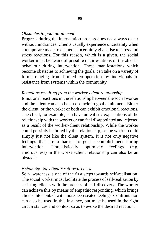### *Obstacles to goal attainment*

Progress during the intervention process does not always occur without hindrances. Clients usually experience uncertainty when attempts are made to change. Uncertainty gives rise to stress and stress reactions. For this reason, which is a given, the social worker must be aware of possible manifestations of the client"s behaviour during intervention. These manifestations which become obstacles to achieving the goals, can take on a variety of forms ranging from limited co-operation by individuals to resistance from systems within the community.

### *Reactions resulting from the worker-client relationship*

Emotional reactions in the relationship between the social worker and the client can also be an obstacle to goal attainment. Either the client, or the worker or both can exhibit emotional reactions. The client, for example, can have unrealistic expectations of the relationship with the worker or can feel disappointed and rejected as a result of the worker-client relationship. While the worker could possibly be bored by the relationship, or the worker could simply just not like the client system. It is not only negative feelings that are a barrier to goal accomplishment during intervention. Unrealistically optimistic feelings (e.g. amorousness) in the worker-client relationship can also be an obstacle.

#### *Enhancing the client's self-awareness*

Self-awareness is one of the first steps towards self-realisation. The social worker must facilitate the process of self-realisation by assisting clients with the process of self-discovery. The worker can achieve this by means of empathic responding, which brings clients into contact with more deep-seated feelings. Confrontation can also be used in this instance, but must be used in the right circumstances and context so as to evoke the desired reaction.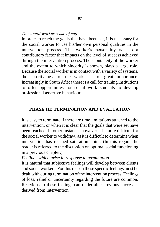### *The social worker's use of self*

In order to reach the goals that have been set, it is necessary for the social worker to use his/her own personal qualities in the intervention process. The worker's personality is also a contributory factor that impacts on the level of success achieved through the intervention process. The spontaneity of the worker and the extent to which sincerity is shown, plays a large role. Because the social worker is in contact with a variety of systems, the assertiveness of the worker is of great importance. Increasingly in South Africa there is a call for training institutions to offer opportunities for social work students to develop professional assertive behaviour.

### **PHASE III: TERMINATION AND EVALUATION**

It is easy to terminate if there are time limitations attached to the intervention, or when it is clear that the goals that were set have been reached. In other instances however it is more difficult for the social worker to withdraw, as it is difficult to determine when intervention has reached saturation point. (In this regard the reader is referred to the discussion on optimal social functioning in a previous chapter.)

*Feelings which arise in response to termination*

It is natural that subjective feelings will develop between clients and social workers. For this reason these specific feelings must be dealt with during termination of the intervention process. Feelings of loss, relief or uncertainty regarding the future are common. Reactions to these feelings can undermine previous successes derived from intervention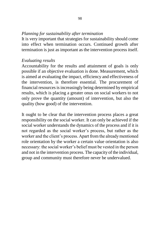### *Planning for sustainability after termination*

It is very important that strategies for sustainability should come into effect when termination occurs. Continued growth after termination is just as important as the intervention process itself.

#### *Evaluating results*

Accountability for the results and attainment of goals is only possible if an objective evaluation is done. Measurement, which is aimed at evaluating the impact, efficiency and effectiveness of the intervention, is therefore essential. The procurement of financial resources is increasingly being determined by empirical results, which is placing a greater onus on social workers to not only prove the quantity (amount) of intervention, but also the quality (how good) of the intervention.

It ought to be clear that the intervention process places a great responsibility on the social worker. It can only be achieved if the social worker understands the dynamics of the process and if it is not regarded as the social worker"s process, but rather as the worker and the client"s process. Apart from the already mentioned role orientation by the worker a certain value orientation is also necessary: the social worker"s belief must be vested in the person and not in the intervention process. The capacity of the individual, group and community must therefore never be undervalued.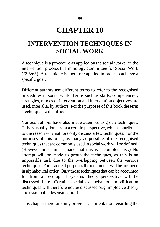# **CHAPTER 10**

## **INTERVENTION TECHNIQUES IN SOCIAL WORK**

A technique is a procedure as applied by the social worker in the intervention process (Terminology Committee for Social Work 1995:65). A technique is therefore applied in order to achieve a specific goal.

Different authors use different terms to refer to the recognised procedures in social work. Terms such as skills, competencies, strategies, modes of intervention and intervention objectives are used, inter alia, by authors. For the purposes of this book the term "technique" will suffice.

Various authors have also made attempts to group techniques. This is usually done from a certain perspective, which contributes to the reason why authors only discuss a few techniques. For the purposes of this book, as many as possible of the recognised techniques that are commonly used in social work will be defined. (However no claim is made that this is a complete list.) No attempt will be made to group the techniques, as this is an impossible task due to the overlapping between the various techniques. For practical purposes the techniques will be arranged in alphabetical order. Only those techniques that can be accounted for from an ecological systems theory perspective will be discussed here. Certain specialised behaviour modification techniques will therefore not be discussed (e.g. implosive theory and systematic desensitisation).

This chapter therefore only provides an orientation regarding the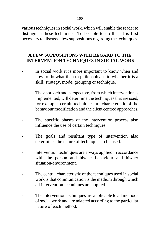various techniques in social work, which will enable the reader to distinguish these techniques. To be able to do this, it is first necessary to discuss a few suppositions regarding the techniques.

### **A FEW SUPPOSITIONS WITH REGARD TO THE INTERVENTION TECHNIQUES IN SOCIAL WORK**

- In social work it is more important to know when and how to do what than to philosophy as to whether it is a skill, strategy, mode, grouping or technique.
- The approach and perspective, from which intervention is implemented, will determine the techniques that are used, for example, certain techniques are characteristic of the behaviour modification and the client centred approaches.
- The specific phases of the intervention process also influence the use of certain techniques.
- The goals and resultant type of intervention also determines the nature of techniques to be used.
- Intervention techniques are always applied in accordance with the person and his/her behaviour and his/her situation-environment.
- The central characteristic of the techniques used in social work is that communication is the medium through which all intervention techniques are applied.
- The intervention techniques are applicable to all methods of social work and are adapted according to the particular nature of each method.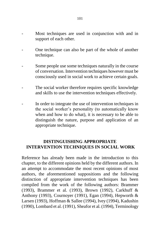- Most techniques are used in conjunction with and in support of each other.
- One technique can also be part of the whole of another technique.
- Some people use some techniques naturally in the course of conversation. Intervention techniques however must be consciously used in social work to achieve certain goals.
- The social worker therefore requires specific knowledge and skills to use the intervention techniques effectively.
- In order to integrate the use of intervention techniques in the social worker"s personality (to automatically know when and how to do what), it is necessary to be able to distinguish the nature, purpose and application of an appropriate technique.

### **DISTINGUISHING APPROPRIATE INTERVENTION TECHNIQUES IN SOCIAL WORK**

Reference has already been made in the introduction to this chapter, to the different opinions held by the different authors. In an attempt to accommodate the most recent opinions of most authors, the aforementioned suppositions and the following distinction of appropriate intervention techniques has been compiled from the work of the following authors: Brammer (1993), Brammer et al. (1993), Brown (1992), Carkhuff & Anthony (1993), Cournoyer (1991), Egan (1994), Hepworth & Larsen (1993), Hoffman & Sallee (1994), Ivey (1994), Kadushin (1990), Lombard et al. (1991), Sheafor et al. (1994), Terminology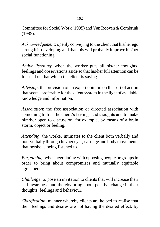Committee for Social Work (1995) and Van Rooyen & Combrink (1985).

*Acknowledgement*: openly conveying to the client that his/her ego strength is developing and that this will probably improve his/her social functioning.

*Active listening*: when the worker puts all his/her thoughts, feelings and observations aside so that his/her full attention can be focused on that which the client is saying.

*Advising*: the provision of an expert opinion on the sort of action that seems preferable for the client system in the light of available knowledge and information.

*Association*: the free association or directed association with something to free the client's feelings and thoughts and to make him/her open to discussion, for example, by means of a brain storm, object or feeling.

*Attending*: the worker intimates to the client both verbally and non-verbally through his/her eyes, carriage and body movements that he/she is being listened to.

*Bargaining*: when negotiating with opposing people or groups in order to bring about compromises and mutually equitable agreements.

*Challenge*: to pose an invitation to clients that will increase their self-awareness and thereby bring about positive change in their thoughts, feelings and behaviour.

*Clarification*: manner whereby clients are helped to realise that their feelings and desires are not having the desired effect, by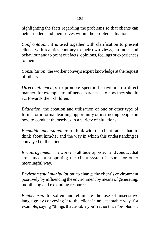103

highlighting the facts regarding the problems so that clients can better understand themselves within the problem situation.

*Confrontation*: it is used together with clarification to present clients with realities contrary to their own views, attitudes and behaviour and to point out facts, opinions, feelings or experiences to them.

*Consultation*: the worker conveys expert knowledge at the request of others.

*Direct influencing*: to promote specific behaviour in a direct manner, for example, to influence parents as to how they should act towards their children.

*Education*: the creation and utilisation of one or other type of formal or informal learning opportunity or instructing people on how to conduct themselves in a variety of situations.

*Empathic understanding*: to think with the client rather than to think about him/her and the way in which this understanding is conveyed to the client.

*Encouragement*: The worker's attitude, approach and conduct that are aimed at supporting the client system in some or other meaningful way.

*Environmental manipulation*: to change the client's environment positively by influencing the environment by means of generating, mobilising and expanding resources.

*Euphemism*: to soften and eliminate the use of insensitive language by conveying it to the client in an acceptable way, for example, saying "things that trouble you" rather than "problems".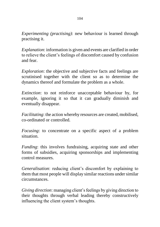*Experimenting (practising)*: new behaviour is learned through practising it.

*Explanation*: information is given and events are clarified in order to relieve the client"s feelings of discomfort caused by confusion and fear.

*Exploration*: the objective and subjective facts and feelings are scrutinised together with the client so as to determine the dynamics thereof and formulate the problem as a whole.

*Extinction*: to not reinforce unacceptable behaviour by, for example, ignoring it so that it can gradually diminish and eventually disappear.

*Facilitating*: the action whereby resources are created, mobilised, co-ordinated or controlled.

*Focusing*: to concentrate on a specific aspect of a problem situation.

*Funding*: this involves fundraising, acquiring state and other forms of subsidies, acquiring sponsorships and implementing control measures.

*Generalisation*: reducing client's discomfort by explaining to them that most people will display similar reactions under similar circumstances.

*Giving direction*: managing client"s feelings by giving direction to their thoughts through verbal leading thereby constructively influencing the client system"s thoughts.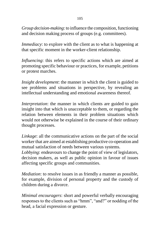105

*Group decision-making*: to influence the composition, functioning and decision making process of groups (e.g. committees).

*Immediacy*: to explore with the client as to what is happening at that specific moment in the worker-client relationship.

*Influencing*: this refers to specific actions which are aimed at promoting specific behaviour or practices, for example, petitions or protest marches.

*Insight development*: the manner in which the client is guided to see problems and situations in perspective, by revealing an intellectual understanding and emotional awareness thereof.

*Interpretation*: the manner in which clients are guided to gain insight into that which is unacceptable to them, or regarding the relation between elements in their problem situations which would not otherwise be explained in the course of their ordinary thought processes.

*Linkage*: all the communicative actions on the part of the social worker that are aimed at establishing productive co-operation and mutual satisfaction of needs between various systems.

*Lobbying*: endeavours to change the point of view of legislators, decision makers, as well as public opinion in favour of issues affecting specific groups and communities.

*Mediation*: to resolve issues in as friendly a manner as possible, for example, division of personal property and the custody of children during a divorce.

*Minimal encouragers*: short and powerful verbally encouraging responses to the clients such as "hmm", "and?" or nodding of the head, a facial expression or gesture.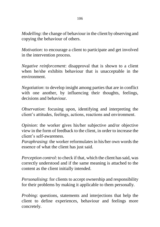*Modelling*: the change of behaviour in the client by observing and copying the behaviour of others.

*Motivation*: to encourage a client to participate and get involved in the intervention process.

*Negative reinforcement*: disapproval that is shown to a client when he/she exhibits behaviour that is unacceptable in the environment.

*Negotiation*: to develop insight among parties that are in conflict with one another, by influencing their thoughts, feelings, decisions and behaviour.

*Observation*: focusing upon, identifying and interpreting the client"s attitudes, feelings, actions, reactions and environment.

*Opinion*: the worker gives his/her subjective and/or objective view in the form of feedback to the client, in order to increase the client"s self-awareness.

*Paraphrasing*: the worker reformulates in his/her own words the essence of what the client has just said.

*Perception control*: to check if that, which the client has said, was correctly understood and if the same meaning is attached to the content as the client initially intended.

*Personalising*: for clients to accept ownership and responsibility for their problems by making it applicable to them personally.

*Probing*: questions, statements and interjections that help the client to define experiences, behaviour and feelings more concretely.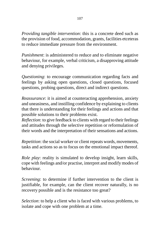*Providing tangible intervention*: this is a concrete deed such as the provision of food, accommodation, grants, facilities etceteras to reduce immediate pressure from the environment.

*Punishment*: is administered to reduce and to eliminate negative behaviour, for example, verbal criticism, a disapproving attitude and denying privileges.

*Questioning*: to encourage communication regarding facts and feelings by asking open questions, closed questions, focused questions, probing questions, direct and indirect questions.

*Reassurance*: it is aimed at counteracting apprehension, anxiety and uneasiness, and instilling confidence by explaining to clients that there is understanding for their feelings and actions and that possible solutions to their problems exist.

*Reflection*: to give feedback to clients with regard to their feelings and attitudes through the selective repetition or reformulation of their words and the interpretation of their sensations and actions.

*Repetition*: the social worker or client repeats words, movements, tasks and actions so as to focus on the emotional impact thereof.

*Role play*: reality is simulated to develop insight, learn skills, cope with feelings and/or practise, interpret and modify modes of behaviour.

*Screening*: to determine if further intervention to the client is justifiable, for example, can the client recover naturally, is no recovery possible and is the resistance too great?

*Selection*: to help a client who is faced with various problems, to isolate and cope with one problem at a time.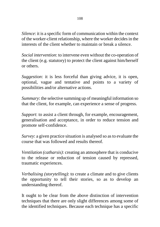*Silence*: it is a specific form of communication within the context of the worker-client relationship, where the worker decides in the interests of the client whether to maintain or break a silence.

*Social intervention*: to intervene even without the co-operation of the client (e.g. statutory) to protect the client against him/herself or others.

*Suggestion*: it is less forceful than giving advice, it is open, optional, vague and tentative and points to a variety of possibilities and/or alternative actions.

*Summary*: the selective summing up of meaningful information so that the client, for example, can experience a sense of progress.

*Support*: to assist a client through, for example, encouragement, generalisation and acceptance, in order to reduce tension and promote self-confidence.

*Survey*: a given practice situation is analysed so as to evaluate the course that was followed and results thereof.

*Ventilation (catharsis)*: creating an atmosphere that is conducive to the release or reduction of tension caused by repressed, traumatic experiences.

*Verbalising (storytelling)*: to create a climate and to give clients the opportunity to tell their stories, so as to develop an understanding thereof.

It ought to be clear from the above distinction of intervention techniques that there are only slight differences among some of the identified techniques. Because each technique has a specific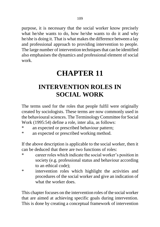purpose, it is necessary that the social worker know precisely what he/she wants to do, how he/she wants to do it and why he/she is doing it. That is what makes the difference between a lay and professional approach to providing intervention to people. The large number of intervention techniques that can be identified also emphasises the dynamics and professional element of social work.

# **CHAPTER 11**

## **INTERVENTION ROLES IN SOCIAL WORK**

The terms used for the roles that people fulfil were originally created by sociologists. These terms are now commonly used in the behavioural sciences. The Terminology Committee for Social Work (1995:54) define a role, inter alia, as follows:

- \* an expected or prescribed behaviour pattern;
- \* an expected or prescribed working method.

If the above description is applicable to the social worker, then it can be deduced that there are two functions of roles:

- \* career roles which indicate the social worker"s position in society (e.g. professional status and behaviour according to an ethical code);
- \* intervention roles which highlight the activities and procedures of the social worker and give an indication of what the worker does.

This chapter focuses on the intervention roles of the social worker that are aimed at achieving specific goals during intervention. This is done by creating a conceptual framework of intervention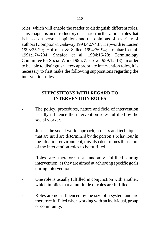roles, which will enable the reader to distinguish different roles. This chapter is an introductory discussion on the various roles that is based on personal opinions and the opinions of a variety of authors (Compton & Galaway 1994:427-437; Hepworth & Larsen 1993:25-29; Hoffman & Sallee 1994:76-94; Lombard et al. 1991:174-204; Sheafor et al. 1994:16-28; Terminology Committee for Social Work 1995; Zastrow 1989:12-13). In order to be able to distinguish a few appropriate intervention roles, it is necessary to first make the following suppositions regarding the intervention roles.

### **SUPPOSITIONS WITH REGARD TO INTERVENTION ROLES**

- The policy, procedures, nature and field of intervention usually influence the intervention roles fulfilled by the social worker.
- Just as the social work approach, process and techniques that are used are determined by the person"s behaviour in the situation-environment, this also determines the nature of the intervention roles to be fulfilled.
- Roles are therefore not randomly fulfilled during intervention, as they are aimed at achieving specific goals during intervention.
- One role is usually fulfilled in conjunction with another, which implies that a multitude of roles are fulfilled.
- Roles are not influenced by the size of a system and are therefore fulfilled when working with an individual, group or community.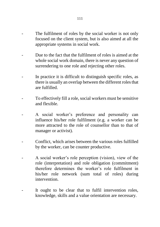- The fulfilment of roles by the social worker is not only focused on the client system, but is also aimed at all the appropriate systems in social work.
- Due to the fact that the fulfilment of roles is aimed at the whole social work domain, there is never any question of surrendering to one role and rejecting other roles.
- In practice it is difficult to distinguish specific roles, as there is usually an overlap between the different roles that are fulfilled.
- To effectively fill a role, social workers must be sensitive and flexible.
- A social worker's preference and personality can influence his/her role fulfilment (e.g. a worker can be more attracted to the role of counsellor than to that of manager or activist).
- Conflict, which arises between the various roles fulfilled by the worker, can be counter productive.
- A social worker's role perception (vision), view of the role (interpretation) and role obligation (commitment) therefore determines the worker"s role fulfilment in his/her role network (sum total of roles) during intervention.
- It ought to be clear that to fulfil intervention roles, knowledge, skills and a value orientation are necessary.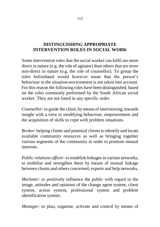### **DISTINGUISHING APPROPRIATE INTERVENTION ROLES IN SOCIAL WORK**

Some intervention roles that the social worker can fulfil are more direct in nature (e.g. the role of agitator) than others that are more non-direct in nature (e.g. the role of counsellor). To group the roles beforehand would however mean that the person"s behaviour in the situation-environment is not taken into account. For this reason the following roles have been distinguished, based on the roles commonly performed by the South African social worker. They are not listed in any specific order.

*Counsellor*: to guide the client, by means of interviewing, towards insight with a view to modifying behaviour, empowerment and the acquisition of skills to cope with problem situations.

*Broker*: helping clients and potential clients to identify and locate available community resources as well as bringing together various segments of the community in order to promote mutual interests.

*Public relations officer*: to establish linkages in various networks, to mobilise and strengthen them by means of mutual linkage between clients and others concerned, experts and help networks.

*Marketer*: to positively influence the public with regard to the image, attitudes and opinions of the change agent system, client system, action system, professional system and problem identification system.

*Manager*: to plan, organise, activate and control by means of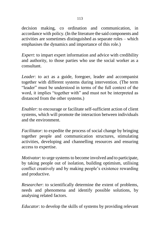decision making, co ordination and communication, in accordance with policy. (In the literature the said components and activities are sometimes distinguished as separate roles – which emphasises the dynamics and importance of this role.)

*Expert*: to impart expert information and advice with credibility and authority, to those parties who use the social worker as a consultant.

*Leader*: to act as a guide, foregoer, leader and accompanist together with different systems during intervention. (The term "leader" must be understood in terms of the full context of the word, it implies "together with" and must not be interpreted as distanced from the other systems.)

*Enabler*: to encourage or facilitate self-sufficient action of client systems, which will promote the interaction between individuals and the environment.

*Facilitator*: to expedite the process of social change by bringing together people and communication structures, stimulating activities, developing and channelling resources and ensuring access to expertise.

*Motivator*: to urge systems to become involved and to participate, by taking people out of isolation, building optimism, utilising conflict creatively and by making people"s existence rewarding and productive.

*Researcher*: to scientifically determine the extent of problems, needs and phenomena and identify possible solutions, by analysing related factors.

*Educator*: to develop the skills of systems by providing relevant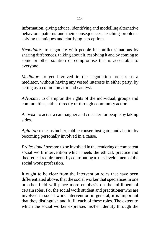information, giving advice, identifying and modelling alternative behaviour patterns and their consequences, teaching problemsolving techniques and clarifying perceptions.

*Negotiator*: to negotiate with people in conflict situations by sharing differences, talking about it, resolving it and by coming to some or other solution or compromise that is acceptable to everyone.

*Mediator*: to get involved in the negotiation process as a mediator, without having any vested interests in either party, by acting as a communicator and catalyst.

*Advocate*: to champion the rights of the individual, groups and communities, either directly or through community action.

*Activist*: to act as a campaigner and crusader for people by taking sides.

*Agitator*: to act as inciter, rabble-rouser, instigator and abettor by becoming personally involved in a cause.

*Professional person*: to be involved in the rendering of competent social work intervention which meets the ethical, practice and theoretical requirements by contributing to the development of the social work profession.

It ought to be clear from the intervention roles that have been differentiated above, that the social worker that specialises in one or other field will place more emphasis on the fulfilment of certain roles. For the social work student and practitioner who are involved in social work intervention in general, it is important that they distinguish and fulfil each of these roles. The extent to which the social worker expresses his/her identity through the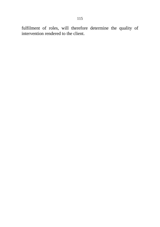fulfilment of roles, will therefore determine the quality of intervention rendered to the client.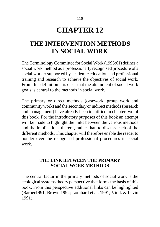#### 116

# **CHAPTER 12**

## **THE INTERVENTION METHODS IN SOCIAL WORK**

The Terminology Committee for Social Work (1995:61) defines a social work method as a professionally recognised procedure of a social worker supported by academic education and professional training and research to achieve the objectives of social work. From this definition it is clear that the attainment of social work goals is central to the methods in social work.

The primary or direct methods (casework, group work and community work) and the secondary or indirect methods (research and management) have already been identified in chapter two of this book. For the introductory purposes of this book an attempt will be made to highlight the links between the various methods and the implications thereof, rather than to discuss each of the different methods. This chapter will therefore enable the reader to ponder over the recognised professional procedures in social work.

### **THE LINK BETWEEN THE PRIMARY SOCIAL WORK METHODS**

The central factor in the primary methods of social work is the ecological systems theory perspective that forms the basis of this book. From this perspective additional links can be highlighted (Barber1991; Brown 1992; Lombard et al. 1991; Vinik & Levin 1991).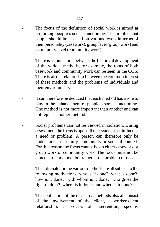- The focus of the definition of social work is aimed at promoting people"s social functioning. This implies that people should be assisted on various levels in terms of their personality (casework), group level (group work) and community level (community work).
- There is a connection between the historical development of the various methods, for example, the roots of both casework and community work can be seen in the COS. There is also a relationship between the common interest of these methods and the problems of individuals and their environments.
- It can therefore be deduced that each method has a role to play in the enhancement of people"s social functioning. One method is not more important than another and can not replace another method.
- Social problems can not be viewed in isolation. During assessment the focus is upon all the systems that influence a need or problem. A person can therefore only be understood in a family, community or societal context. For this reason the focus cannot be on either casework or group work or community work. The focus must not be aimed at the method, but rather at the problem or need.
- The rationale for the various methods are all subject to the following motivations: why is it done?, what is done?, how is it done?, with whom is it done?, who gives the right to do it?, where is it done? and when is it done?
- The application of the respective methods also all consist of the involvement of the client, a worker-client relationship, a process of intervention, specific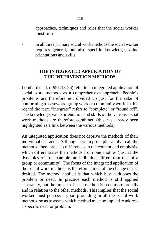approaches, techniques and roles that the social worker must fulfil.

In all three primary social work methods the social worker requires general, but also specific knowledge, value orientations and skills.

### **THE INTEGRATED APPLICATION OF THE INTERVENTION METHODS**

Lombard et al. (1991:13-26) refer to an integrated application of social work methods as a comprehensive approach. People's problems are therefore not divided up just for the sake of conforming to casework, group work or community work. In this regard the term "integrate" refers to "complete" or "round off". The knowledge, value orientation and skills of the various social work methods are therefore combined (this has already been highlighted as a link between the various methods).

An integrated application does not deprive the methods of their individual character. Although certain principles apply to all the methods, there are also differences in the content and emphasis, which differentiates the methods from one another (just as the dynamics of, for example, an individual differ from that of a group or community). The focus of the integrated application of the social work methods is therefore aimed at the change that is desired. The method applied is that which best addresses the problem or need. In practice each method is still applied separately, but the impact of each method is seen more broadly and in relation to the other methods. This implies that the social worker must possess a good grounding in all the social work methods, so as to assess which method must be applied to address a specific need or problem.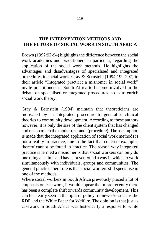### **THE INTERVENTION METHODS AND THE FUTURE OF SOCIAL WORK IN SOUTH AFRICA**

Brown (1992:92-94) highlights the difference between the social work academics and practitioners in particular, regarding the application of the social work methods. He highlights the advantages and disadvantages of specialised and integrated procedures in social work. Gray & Bernstein (1994:199-207) in their article "Integrated practice: a misnomer in social work" invite practitioners in South Africa to become involved in the debate on specialised or integrated procedures, so as to enrich social work theory.

Gray & Bernstein (1994) maintain that theoreticians are motivated by an integrated procedure to generalise clinical theories to community development. According to these authors however, it is only the size of the client system that has changed and not so much the modus operandi (procedure). The assumption is made that the integrated application of social work methods is not a reality in practice, due to the fact that concrete examples thereof cannot be found in practice. The reason why integrated practice is termed a misnomer is that social workers can only do one thing at a time and have not yet found a way in which to work simultaneously with individuals, groups and communities. The general practice therefore is that social workers still specialise in one of the methods.

Where social workers in South Africa previously placed a lot of emphasis on casework, it would appear that more recently there has been a complete shift towards community development. This can be clearly seen in the light of policy frameworks such as the RDP and the White Paper for Welfare. The opinion is that just as casework in South Africa was historically a response to white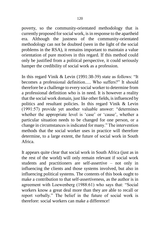poverty, so the community-orientated methodology that is currently proposed for social work, is in response to the apartheid era. Although the justness of the community-orientated methodology can not be doubted (seen in the light of the social problems in the RSA), it remains important to maintain a value orientation of pure motives in this regard. If this method could only be justified from a political perspective, it could seriously hamper the credibility of social work as a profession.

In this regard Vinik & Levin (1991:38-39) state as follows: "It becomes a professional definition..... Who suffers?" It should therefore be a challenge to every social worker to determine from a professional definition who is in need. It is however a reality that the social work domain, just like other fields, is influenced by politics and resultant policies. In this regard Vinik & Levin (1991:57) provide yet another valuable answer: "determines whether the appropriate level is 'case' or 'cause', whether a particular situation needs to be changed for one person, or a change in circumstances is indicated for many." The intervention methods that the social worker uses in practice will therefore determine, to a large extent, the future of social work in South Africa.

It appears quite clear that social work in South Africa (just as in the rest of the world) will only remain relevant if social work students and practitioners are self-assertive – not only in influencing the clients and those systems involved, but also in influencing political systems. The contents of this book ought to make a contribution to that self-assertiveness, as the author is in agreement with Loewenberg (1988:61) who says that: "Social workers know a great deal more than they are able to recall or report verbally." The belief in the future of social work is therefore: social workers can make a difference!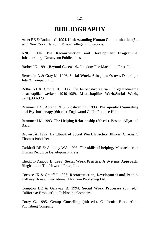### **BIBLIOGRAPHY**

Adler RB & Rodman G. 1994. **Understanding Human Communication** (5th ed.). New York: Harcourt Brace College Publications.

ANC. 1994. **The Reconstruction and Development Programme.**  Johannesburg: Umanyano Publications.

Barber JG. 1991. **Beyond Casework.** London: The Macmillan Press Ltd.

Bernstein A & Gray M. 1996. **Social Work. A beginner's text.** Dalbridge: Juta & Company Ltd.

Botha NJ & Cronjé JI. 1996. Die beroepsbydrae van US-gegradueerde maatskaplike werkers 1940-1989. **Maatskaplike Werk/Social Work,** 32(4):308-323.

Brammer LM, Abrego PJ & Shostrom EL. 1993. **Therapeutic Counseling and Psychotherapy** (6th ed.). Englewood Cliffs: Prentice Hall.

Brammer LM. 1993. **The Helping Relationship** (5th ed.). Boston: Allyn and Bacon.

Brown JA. 1992. **Handbook of Social Work Practice.** Illinois: Charles C Thomas Publisher.

Carkhuff RR & Anthony WA. 1993. **The skills of helping.** Massachusetts: Human Recource Development Press.

Chetkow-Yanoov B. 1992. **Social Work Practice. A Systems Approach.**  Binghamton: The Haworth Press, Inc.

Coetzee JK & Graaff J. 1996. **Reconstruction, Development and People.** Halfway House: International Thomson Publishing Ltd.

Compton BR & Galaway B. 1994. **Social Work Processes** (5th ed.). California: Brooks/Cole Publishing Company.

Corey G. 1995. **Group Couselling** (4th ed.). California: Brooks/Cole Publishing Company.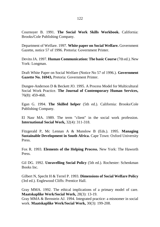Cournoyer B. 1991. **The Social Work Skills Workbook.** California: Brooks/Cole Publishing Company.

Department of Welfare. 1997. **White paper on Social Welfare.** Government Gazette, notice 57 of 1996. Pretoria: Government Printer.

Devito JA. 1997. **Human Communication: The basic Course** (7th ed.). New York: Longman.

Draft White Paper on Social Welfare (Notice No 57 of 1996.). **Government Gazette No. 16943,** Pretoria: Government Printer.

Dungee-Anderson D & Beckett JO. 1995. A Process Model for Multicultural Social Work Practice. **The Journal of Contemporary Human Services,**  76(8): 459-468.

Egan G. 1994. **The Skilled helper** (5th ed.). California: Brooks/Cole Publishing Company.

El Nasr MA. 1989. The term "client" in the social work profession. **International Social Work,** 32(4): 311-318.

Fitzgerald P, Mc Lennan A & Munslow B (Eds.). 1995. **Managing Sustainable Development in South Africa.** Cape Town: Oxford University Press.

Fox R. 1993. **Elements of the Helping Process.** New York: The Haworth Press.

Gil DG. 1992. **Unravelling Social Policy** (5th ed.). Rochester: Schenkman Books Inc.

Gilbert N, Specht H & Terrel P. 1993. **Dimensions of Social Welfare Policy**  (3rd ed.). Englewood Cliffs: Prentice Hall.

Gray MMA. 1992. The ethical implications of a primary model of care. **Maatskaplike Werk/Social Work,** 28(3): 13-19.

Gray MMA & Bernstein AJ. 1994. Integrated practice: a misnomer in social work. **Maatskaplike Werk/Social Work,** 30(3): 199-208.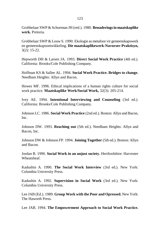Grobbelaar SWP & Schoeman JH (red.). 1980. **Benaderings in maatskaplike werk.** Pretoria.

Grobbelaar SWP & Louw S. 1990. Ekologie as metafoor vir gemeenskapswerk en gemeenskapsontwikkeling. **Die maatskaplikewerk-Navorser-Praktisyn,** 3(2): 15-22.

Hepworth DH & Larsen JA. 1993. **Direct Social Work Practice** (4th ed.). California: Brooks/Cole Publishing Company.

Hoffman KS & Sallee AL. 1994. **Social Work Practice. Bridges to change.** Needham Heights: Allyn and Bacon.

Howes MF. 1996. Ethical implications of a human rights culture for social work practice. **Maatskaplike Werk/Social Work,** 32(3): 205-214.

Ivey AE. 1994. **Intentional Interviewing and Counseling** (3rd ed.). California: Brooks/Cole Publishing Company.

Johnson LC. 1986. **Social Work Practice** (2nd ed.). Boston: Allyn and Bacon, Inc.

Johnson DW. 1993. **Reaching out** (5th ed.). Needham Heights: Allyn and Bacon, Inc.

Johnson DW & Johnson FP. 1994. **Joining Together** (5th ed.). Boston: Allyn and Bacon.

Jordan B. 1990. **Social Work in an unjust society.** Hertfordshire: Harvester Wheatsheaf.

Kadushin A. 1990. **The Social Work Interview** (3rd ed.). New York: Columbia University Press.

Kadushin A. 1992. **Supervision in Social Work** (3rd ed.). New York: Columbia University Press.

Lee JAB (Ed.). 1989. **Group Work with the Poor and Opressed.** New York: The Haworth Press.

Lee JAB. 1994. **The Empowerment Approach to Social Work Practice.**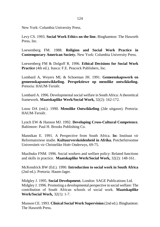New York: Columbia University Press.

Levy CS. 1993. **Social Work Ethics on the line.** Binghamton: The Haworth Press, Inc.

Loewenberg FM. 1988. **Religion and Social Work Practice in Contemporary American Society.** New York: Columbia University Press.

Loewenberg FM & Dolgoff R. 1996. **Ethical Decisions for Social Work Practice** (4th ed.). Itasca: F.E. Peacock Publishers, Inc.

Lombard A, Weyers ML & Schoeman JH. 1991. **Gemeenskapswerk en gemeenskapsontwikkeling. Perspektiewe op menslike ontwikkeling.** Pretoria: HAUM-Tersiêr.

Lombard A. 1996. Developmental social welfare in South Africa: A theoretical framework. **Maatskaplike Werk/Social Work,** 32(2): 162-172.

Louw DA (red.). 1990. **Menslike Ontwikkeling** (2de uitgawe). Pretoria: HAUM-Tersiêr.

Lynch EW & Hanson MJ. 1992. **Developing Cross-Cultural Competence.**  Baltimore: Paul H. Brooks Publishing Co.

Mannikan E. 1991. A Perspective from South Africa. **In:** Instituut vir Reformatoriese studie. **Kultuurverskeidenheid in Afrika.** Potchefstroomse Universiteit vir Christelike Hoër Onderwys, 69-75.

Mazibuko FNM. 1996. Social workers and welfare policy: Related functions and skills in practice. **Maatskaplike Werk/Social Work,** 32(2): 148-161.

McKendrick BW (Ed.). 1990. **Introduction to social work in South Africa**  (2nd ed.). Pretoria: Haum-Jager.

Midgley J. 1995. **Social Development.** London: SAGE Publications Ltd. Midgley J. 1996. Promoting a developmental perspective in social welfare: The contribution of South African schools of social work. **Maatskaplike Werk/Social Work,** 32(1): 1-7.

Munson CE. 1993. **Clinical Social Work Supervision** (2nd ed.). Binghamton: The Haworth Press.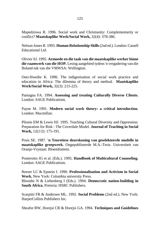Mupedziswa R. 1996. Social work and Christianity: Complementarity or conflict? **Maatskaplike Werk/Social Work,** 32(4): 378-386.

Nelson-Jones R. 1993. **Human Relationship Skills**(2nd ed.). London: Cassell Educational Ltd.

Olivier SJ. 1995. **Armoede en die taak van die maatskaplike werker binne die raamwerk van die HOP.** Lesing aangebied tydens 'n vergadering van die Boland-tak van die VMWSA: Wellington.

Osei-Hwedie K. 1996. The indigenisation of social work practice and education in Africa: The dilemma of theory and method. **Maatskaplike Werk/Social Work,** 32(3): 215-225.

Paniagna FA. 1994. **Assessing and treating Culturally Diverse Clients.**  London: SAGE Publications.

Payne M. 1991. **Modern social work theory: a critical introduction.** London: Macmillan.

Plionis EM & Lewis HJ. 1995. Teaching Cultural Diversity and Oppression: Preparation for Risk - The Coverdale Model. **Journal of Teaching in Social Work,** 12(1/2): 175-191.

Pruis SE. 1987. **'n Teoretiese deurskouing van geselekteerde modelle in maatskaplike groepwerk.** Ongepubliseerde M.A.-Tesis. Universiteit van Oranje-Vrystaat: Bloemfontein.

Ponterotto JG et al. (Eds.). 1995. **Handbook of Multicultural Counseling.**  London: SAGE Publications.

Reeser LC & Epstein I. 1990. **Professionalisation and Activism in Social Work.** New York: Columbia university Press.

Rhoodie N & Liebenberg I (Eds.). 1994. **Democratic nation-building in South Africa.** Pretoria: HSRC Publishers.

Scarpitti FR & Andersen ML. 1992. **Social Problems** (2nd ed.). New York: HarperCollins Publishers Inc.

Sheafor BW, Horejsi CR & Horejsi GA. 1994. **Techniques and Guidelines**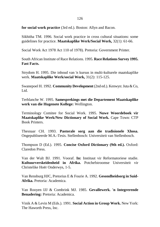**for social work practice** (3rd ed.). Boston: Allyn and Bacon.

Sikhitha TM. 1996. Social work practice in cross cultural situations: some guidelines for practice. **Maatskaplike Werk/Social Work,** 32(1): 61-66.

Social Work Act 1978 Act 110 of 1978). Pretoria: Government Printer.

South African Institute of Race Relations. 1995. **Race Relations Survey 1995. Fast Facts.**

Strydom H. 1995. Die inhoud van 'n kursus in multi-kulturele maatskaplike werk. **Maatskaplike Werk/social Work,** 31(2): 115-125.

Swanepoel H. 1992. **Community Development** (2nd ed.). Kenwyn: Juta & Co, L<sub>td</sub>

Terblanche W. 1995. **Samesprekings met die Departement Maatskaplike werk van die Hugenote Kollege:** Wellington.

Terminology Comitee for Social Work. 1995. **Nuwe Woordeboek vir Maatskaplike Werk/New Dictionary of Social Work.** Cape Town: CTP Book Printers.

Thesnaar CH. 1993. **Pastorale sorg aan die tradisionele Xhosa.** Ongepubliseerde M.A.-Tesis. Stellenbosch: Universiteit van Stellenbosch.

Thompson D (Ed.). 1995. **Concise Oxford Dictionary (9th ed.).** Oxford: Claredon Press.

Van der Walt BJ. 1991. Vooraf. **In:** Instituut vir Reformatoriese studie. **Kultuurverskeidenheid in Afrika.** Potchefstroomse Universiteit vir Christelike Hoër Onderwys, 1-5.

Van Rensburg HJC, Pretorius E & Fourie A. 1992. **Gesondheidsorg in Suid-Afrika.** Pretoria: Academica.

Van Rooyen IJJ & Combrink MJ. 1985. **Gevallewerk. 'n Integrerende Benadering:** Pretoria: Academica.

Vinik A & Levin M (Eds.). 1991. **Social Action in Group Work.** New York: The Haworth Press, Inc.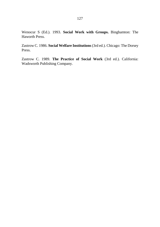Wenocur S (Ed.). 1993. **Social Work with Groups.** Binghamton: The Haworth Press.

Zastrow C. 1986. **Social Welfare Institutions** (3rd ed.). Chicago: The Dorsey Press.

Zastrow C. 1989. **The Practice of Social Work** (3rd ed.). California: Wadsworth Publishing Company.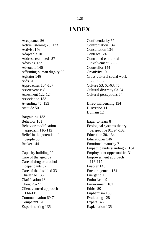### **INDEX**

Acceptance 56 Active listening 75, 133 Activist 146 Adaptable 10 Address real needs 57 Advising 133 Advocate 146 Affirming human dignity 56 Agitator 146 Aids 31 Approaches 104-107 Assertiveness 8 Assesment 122-124 Association 133 Attending 75, 133 Attitude 50 Bargaining 133 Behavior 101 Behavior modification approach 110-112 Belief in the potential of people 56 Broker 144

Capacity building 22 Care of the aged 32 Care of drug or alcohol depandants 32 Care of the disabled 33 Challenge 133 Clarification 134 Client 26-27 Client centred approach 114-115 Communication 69-71 Competent 1-6 Experimenting 135 Explanation 135

Confidentiality 57 Confrontation 134 Consultation 134 Contract 124 Controlled emotional involvement 58-60 Counsellor 144 Creativity 10 Cross-cultural social work 63, 65-67 Culture 53, 62-63, 75 Cultural diversity 63-64 Cultural perceptions 64 Direct influencing 134 Discretion 11 Domain 12 Eager to learn 8 Ecological systems theory perspective 91, 94-102 Education 30, 134 Educationer 146 Emotional maturity 7 Empathic understanding 7, 134 Employment oppertunities 31 Empowerment approach 116-117 Enabler 145 Encouragement 134 Energetic 11 Enthusiasm 9 Environment 102 Ethics 50 Euphemism 135 Evaluating 128 Expert 145

#### 128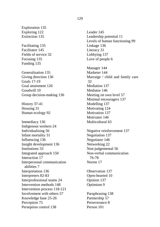Exploration 135 Exploring 122 Extinction 135

Facilitating 135 Facilitator 145 Fields of service 32 Focusing 135 Funding 135

Generalisation 135 Giving direction 136 Goals 17-19 Goal attainment 126 Goodwill 10 Group decision-making 136

History 37-41 Housing 31 Human ecology 92

Immediacy 136 Indigenous workers 24 Individualising 56 Infant mortality 31 Influencing 136 Insight development 136 Institutions 33 Integrated approach 150 Interaction 17 Interpersonal communication abilities 7 Interpretation 136 Interpreters 82-83 Interprofessional teams 24 Intervention methods 148 Intervention process 118-121 Involvement with others 57 Knowledge base 25-26 Perception 75 Perseption control 138

Leader 145 Leadership potential 11 Levels of human functioning 99 Linkage 136 Literacy 31 Lobbying 137 Love of people 6 Manager 144 Marketer 144 Marraige / child and family care 32 Mediation 137 Mediator 146 Meeting on own level 57 Minimal encouragers 137 Modelling 137 Motivating 124 Motivation 137 Motivator 146 Multicultural 63 Negative reinforcement 137 Negotiation 137 Negotiator 146 Networking 22 Non-judgemental 56 Non-verbal communication 76-78 Norms 17 Observation 137 Open-hearted 10 Opinion 137 Optimism 9 Paraphrasing 138 Partnership 57 Perseverance 8 Person 101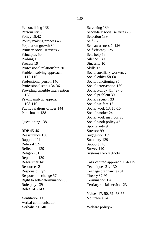Personalising 138 Personality 6 Policy 18,42 Policy making process 43 Population growth 30 Primary social services 23 Principles 50 Probing 138 Process 19 Professional relationship 20 Problem solving approach 115-116 Professional person 146 Professional status 34-36 Providing tangible intervention 138 Psychoanalytic approach 108-110 Public ralations officer 144 Punishment 138

Questioning 138

RDP 45-46 Reassurance 138 Rapport 121 Referral 124 Reflection 139 Religion 51 Repetition 139 Researcher 145 Resources 21 Responsibility 9 Responsible change 57 Right to self-determination 56 Role play 139 Roles 141-143

Ventilation 140 Verbal communication Verbalising 140

Screening 139 Secondary social services 23 Selection 139 Self 75 Self-awareness 7, 126 Self-efficacy 125 Self-help 56 Silence 139 Sincerity 10 Skills 17 Social auxiliary workers 24 Social ethics 58-60 Social functioning 95 Social intervention 139 Social Policy 41, 42-43 Social problem 30 Social security 33 Social welfare 15 Social work 13, 15-16 Social worker 24 Social work methods 20 Social work policy 42 Spontaneity 9 Stressor 99 Suggestion 139 Summary 139 Support 140 Survey 140 Systems theory 92-94

Task centred approach 114-115 Techniques 21, 130 Teenage pregnancies 31 Theory 87-91 Termination 128 Tertiary social services 23

Values 17, 50, 51, 53-55 Volunteers 24

Welfare policy 42

#### 130